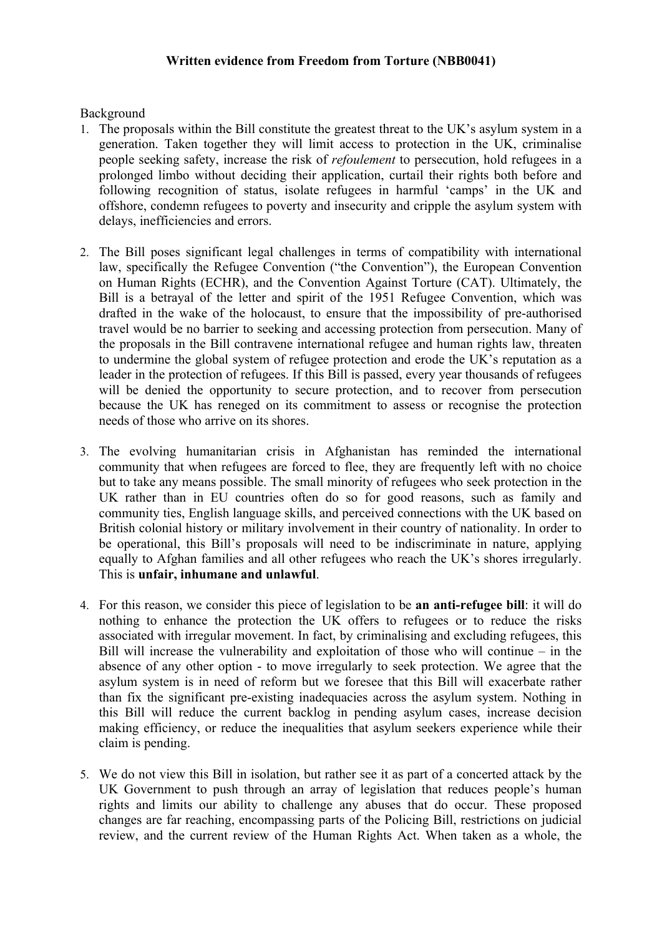## **Written evidence from Freedom from Torture (NBB0041)**

Background

- 1. The proposals within the Bill constitute the greatest threat to the UK's asylum system in a generation. Taken together they will limit access to protection in the UK, criminalise people seeking safety, increase the risk of *refoulement* to persecution, hold refugees in a prolonged limbo without deciding their application, curtail their rights both before and following recognition of status, isolate refugees in harmful 'camps' in the UK and offshore, condemn refugees to poverty and insecurity and cripple the asylum system with delays, inefficiencies and errors.
- 2. The Bill poses significant legal challenges in terms of compatibility with international law, specifically the Refugee Convention ("the Convention"), the European Convention on Human Rights (ECHR), and the Convention Against Torture (CAT). Ultimately, the Bill is a betrayal of the letter and spirit of the 1951 Refugee Convention, which was drafted in the wake of the holocaust, to ensure that the impossibility of pre-authorised travel would be no barrier to seeking and accessing protection from persecution. Many of the proposals in the Bill contravene international refugee and human rights law, threaten to undermine the global system of refugee protection and erode the UK's reputation as a leader in the protection of refugees. If this Bill is passed, every year thousands of refugees will be denied the opportunity to secure protection, and to recover from persecution because the UK has reneged on its commitment to assess or recognise the protection needs of those who arrive on its shores.
- 3. The evolving humanitarian crisis in Afghanistan has reminded the international community that when refugees are forced to flee, they are frequently left with no choice but to take any means possible. The small minority of refugees who seek protection in the UK rather than in EU countries often do so for good reasons, such as family and community ties, English language skills, and perceived connections with the UK based on British colonial history or military involvement in their country of nationality. In order to be operational, this Bill's proposals will need to be indiscriminate in nature, applying equally to Afghan families and all other refugees who reach the UK's shores irregularly. This is **unfair, inhumane and unlawful**.
- 4. For this reason, we consider this piece of legislation to be **an anti-refugee bill**: it will do nothing to enhance the protection the UK offers to refugees or to reduce the risks associated with irregular movement. In fact, by criminalising and excluding refugees, this Bill will increase the vulnerability and exploitation of those who will continue – in the absence of any other option - to move irregularly to seek protection. We agree that the asylum system is in need of reform but we foresee that this Bill will exacerbate rather than fix the significant pre-existing inadequacies across the asylum system. Nothing in this Bill will reduce the current backlog in pending asylum cases, increase decision making efficiency, or reduce the inequalities that asylum seekers experience while their claim is pending.
- 5. We do not view this Bill in isolation, but rather see it as part of a concerted attack by the UK Government to push through an array of legislation that reduces people's human rights and limits our ability to challenge any abuses that do occur. These proposed changes are far reaching, encompassing parts of the Policing Bill, restrictions on judicial review, and the current review of the Human Rights Act. When taken as a whole, the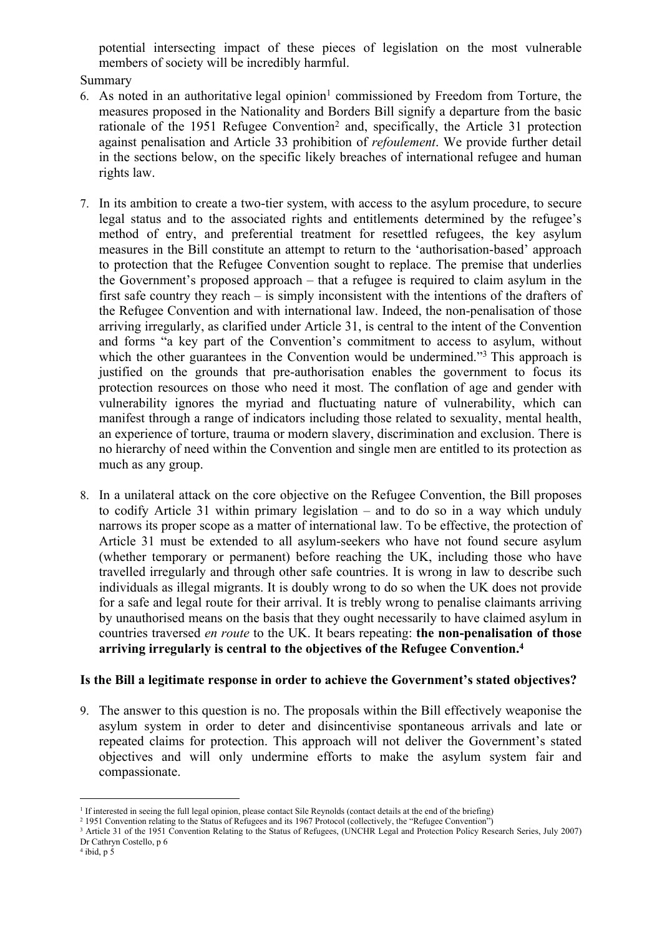potential intersecting impact of these pieces of legislation on the most vulnerable members of society will be incredibly harmful.

## Summary

- 6. As noted in an authoritative legal opinion<sup>1</sup> commissioned by Freedom from Torture, the measures proposed in the Nationality and Borders Bill signify a departure from the basic rationale of the 1951 Refugee Convention<sup>2</sup> and, specifically, the Article 31 protection against penalisation and Article 33 prohibition of *refoulement*. We provide further detail in the sections below, on the specific likely breaches of international refugee and human rights law.
- 7. In its ambition to create a two-tier system, with access to the asylum procedure, to secure legal status and to the associated rights and entitlements determined by the refugee's method of entry, and preferential treatment for resettled refugees, the key asylum measures in the Bill constitute an attempt to return to the 'authorisation-based' approach to protection that the Refugee Convention sought to replace. The premise that underlies the Government's proposed approach – that a refugee is required to claim asylum in the first safe country they reach – is simply inconsistent with the intentions of the drafters of the Refugee Convention and with international law. Indeed, the non-penalisation of those arriving irregularly, as clarified under Article 31, is central to the intent of the Convention and forms "a key part of the Convention's commitment to access to asylum, without which the other guarantees in the Convention would be undermined."<sup>3</sup> This approach is justified on the grounds that pre-authorisation enables the government to focus its protection resources on those who need it most. The conflation of age and gender with vulnerability ignores the myriad and fluctuating nature of vulnerability, which can manifest through a range of indicators including those related to sexuality, mental health, an experience of torture, trauma or modern slavery, discrimination and exclusion. There is no hierarchy of need within the Convention and single men are entitled to its protection as much as any group.
- 8. In a unilateral attack on the core objective on the Refugee Convention, the Bill proposes to codify Article 31 within primary legislation – and to do so in a way which unduly narrows its proper scope as a matter of international law. To be effective, the protection of Article 31 must be extended to all asylum-seekers who have not found secure asylum (whether temporary or permanent) before reaching the UK, including those who have travelled irregularly and through other safe countries. It is wrong in law to describe such individuals as illegal migrants. It is doubly wrong to do so when the UK does not provide for a safe and legal route for their arrival. It is trebly wrong to penalise claimants arriving by unauthorised means on the basis that they ought necessarily to have claimed asylum in countries traversed *en route* to the UK. It bears repeating: **the non-penalisation of those arriving irregularly is central to the objectives of the Refugee Convention.<sup>4</sup>**

# **Is the Bill a legitimate response in order to achieve the Government's stated objectives?**

9. The answer to this question is no. The proposals within the Bill effectively weaponise the asylum system in order to deter and disincentivise spontaneous arrivals and late or repeated claims for protection. This approach will not deliver the Government's stated objectives and will only undermine efforts to make the asylum system fair and compassionate.

<sup>1</sup> If interested in seeing the full legal opinion, please contact Sile Reynolds (contact details at the end of the briefing)

<sup>2</sup> 1951 Convention relating to the Status of Refugees and its 1967 Protocol (collectively, the "Refugee Convention")

<sup>&</sup>lt;sup>3</sup> Article 31 of the 1951 Convention Relating to the Status of Refugees, (UNCHR Legal and Protection Policy Research Series, July 2007) Dr Cathryn Costello, p 6

 $4$  ibid, p 5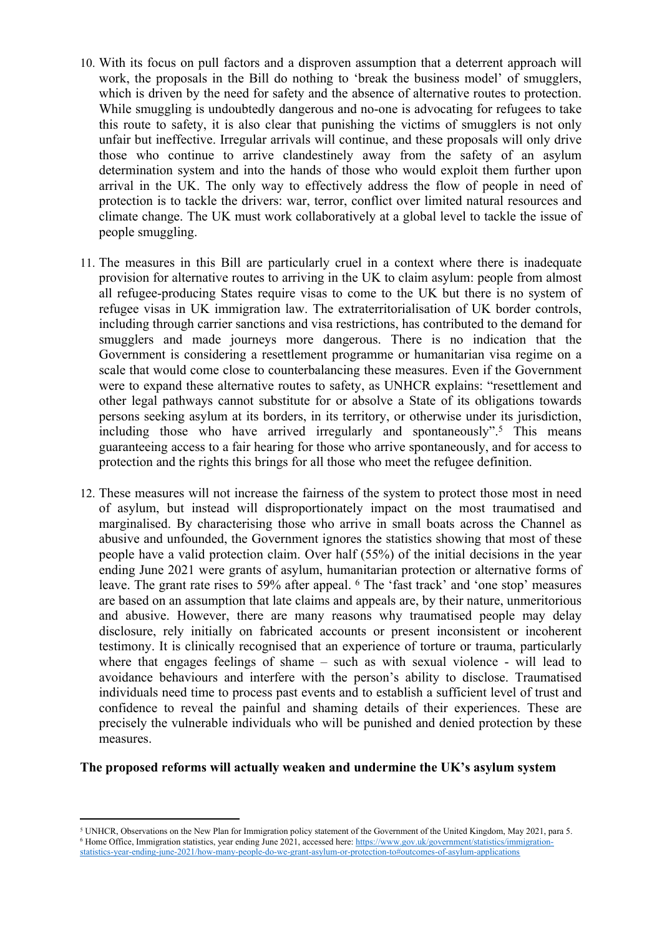- 10. With its focus on pull factors and a disproven assumption that a deterrent approach will work, the proposals in the Bill do nothing to 'break the business model' of smugglers, which is driven by the need for safety and the absence of alternative routes to protection. While smuggling is undoubtedly dangerous and no-one is advocating for refugees to take this route to safety, it is also clear that punishing the victims of smugglers is not only unfair but ineffective. Irregular arrivals will continue, and these proposals will only drive those who continue to arrive clandestinely away from the safety of an asylum determination system and into the hands of those who would exploit them further upon arrival in the UK. The only way to effectively address the flow of people in need of protection is to tackle the drivers: war, terror, conflict over limited natural resources and climate change. The UK must work collaboratively at a global level to tackle the issue of people smuggling.
- 11. The measures in this Bill are particularly cruel in a context where there is inadequate provision for alternative routes to arriving in the UK to claim asylum: people from almost all refugee-producing States require visas to come to the UK but there is no system of refugee visas in UK immigration law. The extraterritorialisation of UK border controls, including through carrier sanctions and visa restrictions, has contributed to the demand for smugglers and made journeys more dangerous. There is no indication that the Government is considering a resettlement programme or humanitarian visa regime on a scale that would come close to counterbalancing these measures. Even if the Government were to expand these alternative routes to safety, as UNHCR explains: "resettlement and other legal pathways cannot substitute for or absolve a State of its obligations towards persons seeking asylum at its borders, in its territory, or otherwise under its jurisdiction, including those who have arrived irregularly and spontaneously".<sup>5</sup> This means guaranteeing access to a fair hearing for those who arrive spontaneously, and for access to protection and the rights this brings for all those who meet the refugee definition.
- 12. These measures will not increase the fairness of the system to protect those most in need of asylum, but instead will disproportionately impact on the most traumatised and marginalised. By characterising those who arrive in small boats across the Channel as abusive and unfounded, the Government ignores the statistics showing that most of these people have a valid protection claim. Over half (55%) of the initial decisions in the year ending June 2021 were grants of asylum, humanitarian protection or alternative forms of leave. The grant rate rises to 59% after appeal. <sup>6</sup> The 'fast track' and 'one stop' measures are based on an assumption that late claims and appeals are, by their nature, unmeritorious and abusive. However, there are many reasons why traumatised people may delay disclosure, rely initially on fabricated accounts or present inconsistent or incoherent testimony. It is clinically recognised that an experience of torture or trauma, particularly where that engages feelings of shame – such as with sexual violence - will lead to avoidance behaviours and interfere with the person's ability to disclose. Traumatised individuals need time to process past events and to establish a sufficient level of trust and confidence to reveal the painful and shaming details of their experiences. These are precisely the vulnerable individuals who will be punished and denied protection by these measures.

#### **The proposed reforms will actually weaken and undermine the UK's asylum system**

<sup>5</sup> UNHCR, Observations on the New Plan for Immigration policy statement of the Government of the United Kingdom, May 2021, para 5. <sup>6</sup> Home Office, Immigration statistics, year ending June 2021, accessed here: [https://www.gov.uk/government/statistics/immigration](https://www.gov.uk/government/statistics/immigration-statistics-year-ending-june-2021/how-many-people-do-we-grant-asylum-or-protection-to#outcomes-of-asylum-applications)[statistics-year-ending-june-2021/how-many-people-do-we-grant-asylum-or-protection-to#outcomes-of-asylum-applications](https://www.gov.uk/government/statistics/immigration-statistics-year-ending-june-2021/how-many-people-do-we-grant-asylum-or-protection-to#outcomes-of-asylum-applications)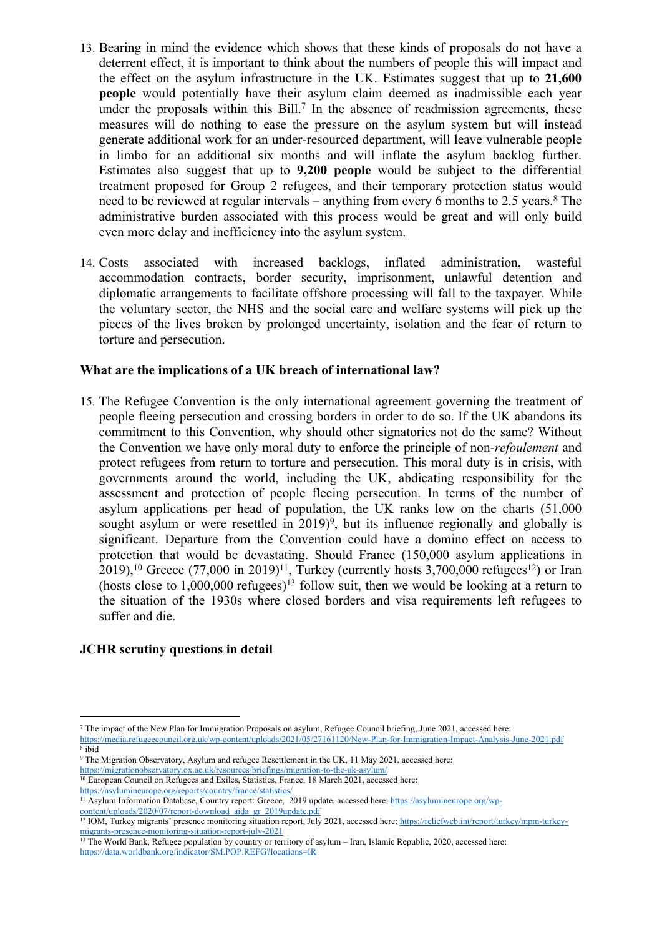- 13. Bearing in mind the evidence which shows that these kinds of proposals do not have a deterrent effect, it is important to think about the numbers of people this will impact and the effect on the asylum infrastructure in the UK. Estimates suggest that up to **21,600 people** would potentially have their asylum claim deemed as inadmissible each year under the proposals within this  $Bill.<sup>7</sup>$  In the absence of readmission agreements, these measures will do nothing to ease the pressure on the asylum system but will instead generate additional work for an under-resourced department, will leave vulnerable people in limbo for an additional six months and will inflate the asylum backlog further. Estimates also suggest that up to **9,200 people** would be subject to the differential treatment proposed for Group 2 refugees, and their temporary protection status would need to be reviewed at regular intervals – anything from every 6 months to 2.5 years.<sup>8</sup> The administrative burden associated with this process would be great and will only build even more delay and inefficiency into the asylum system.
- 14. Costs associated with increased backlogs, inflated administration, wasteful accommodation contracts, border security, imprisonment, unlawful detention and diplomatic arrangements to facilitate offshore processing will fall to the taxpayer. While the voluntary sector, the NHS and the social care and welfare systems will pick up the pieces of the lives broken by prolonged uncertainty, isolation and the fear of return to torture and persecution.

## **What are the implications of a UK breach of international law?**

15. The Refugee Convention is the only international agreement governing the treatment of people fleeing persecution and crossing borders in order to do so. If the UK abandons its commitment to this Convention, why should other signatories not do the same? Without the Convention we have only moral duty to enforce the principle of non-*refoulement* and protect refugees from return to torture and persecution. This moral duty is in crisis, with governments around the world, including the UK, abdicating responsibility for the assessment and protection of people fleeing persecution. In terms of the number of asylum applications per head of population, the UK ranks low on the charts (51,000 sought asylum or were resettled in  $2019$ <sup>9</sup>, but its influence regionally and globally is significant. Departure from the Convention could have a domino effect on access to protection that would be devastating. Should France (150,000 asylum applications in 2019),<sup>10</sup> Greece ([77,000](https://asylumineurope.org/wp-content/uploads/2020/07/report-download_aida_gr_2019update.pdf) [in](https://asylumineurope.org/wp-content/uploads/2020/07/report-download_aida_gr_2019update.pdf) [2019\)](https://asylumineurope.org/wp-content/uploads/2020/07/report-download_aida_gr_2019update.pdf)<sup>11</sup>, Turkey (currently hosts [3,700,000](https://reliefweb.int/report/turkey/unhcr-turkey-fact-sheet-september-2020#:~:text=Some%204%20million%20refugees%20and,asylum%20seekers%20of%20other%20nationalities.) refugees<sup>12</sup>) or Iran (hosts close to  $1,000,000$  refugees)<sup>13</sup> follow suit, then we would be looking at a return to the situation of the 1930s where closed borders and visa requirements left refugees to suffer and die.

# **JCHR scrutiny questions in detail**

<sup>7</sup> The impact of the New Plan for Immigration Proposals on asylum, Refugee Council briefing, June 2021, accessed here: <https://media.refugeecouncil.org.uk/wp-content/uploads/2021/05/27161120/New-Plan-for-Immigration-Impact-Analysis-June-2021.pdf>

<sup>8</sup> ibid

<sup>9</sup> The Migration Observatory, Asylum and refugee Resettlement in the UK, 11 May 2021, accessed here: <https://migrationobservatory.ox.ac.uk/resources/briefings/migration-to-the-uk-asylum/>

<sup>&</sup>lt;sup>10</sup> European Council on Refugees and Exiles, Statistics, France, 18 March 2021, accessed here: <https://asylumineurope.org/reports/country/france/statistics/>

<sup>&</sup>lt;sup>11</sup> Asylum Information Database, Country report: Greece, 2019 update, accessed here: [https://asylumineurope.org/wp](https://asylumineurope.org/wp-content/uploads/2020/07/report-download_aida_gr_2019update.pdf)[content/uploads/2020/07/report-download\\_aida\\_gr\\_2019update.pdf](https://asylumineurope.org/wp-content/uploads/2020/07/report-download_aida_gr_2019update.pdf)

<sup>&</sup>lt;sup>12</sup> IOM, Turkey migrants' presence monitoring situation report, July 2021, accessed here: [https://reliefweb.int/report/turkey/mpm-turkey](https://reliefweb.int/report/turkey/mpm-turkey-migrants-presence-monitoring-situation-report-july-2021)[migrants-presence-monitoring-situation-report-july-2021](https://reliefweb.int/report/turkey/mpm-turkey-migrants-presence-monitoring-situation-report-july-2021)

<sup>&</sup>lt;sup>13</sup> The World Bank, Refugee population by country or territory of asylum – Iran, Islamic Republic, 2020, accessed here: <https://data.worldbank.org/indicator/SM.POP.REFG?locations=IR>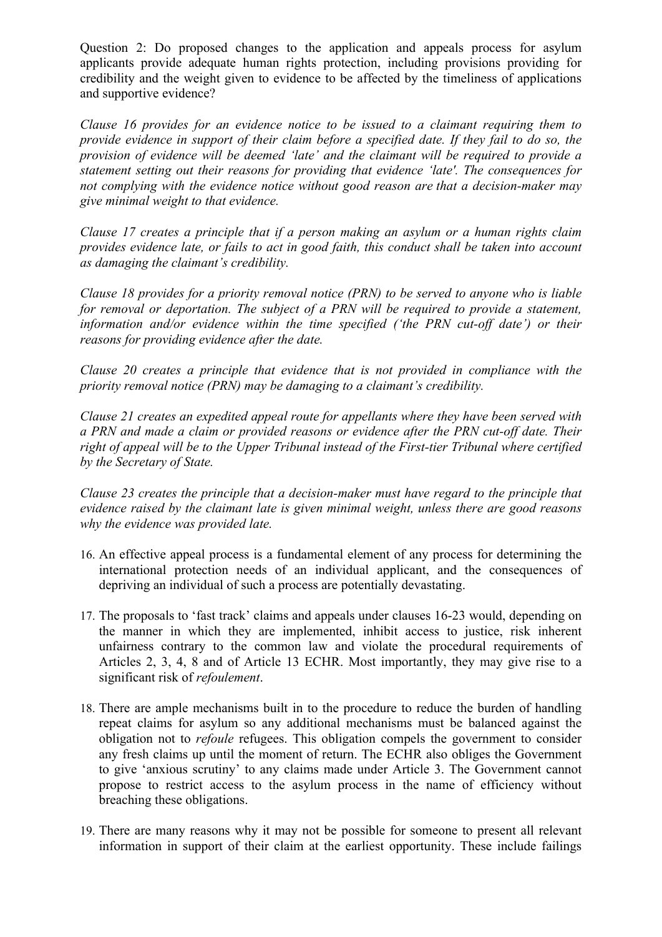Question 2: Do proposed changes to the application and appeals process for asylum applicants provide adequate human rights protection, including provisions providing for credibility and the weight given to evidence to be affected by the timeliness of applications and supportive evidence?

*Clause 16 provides for an evidence notice to be issued to a claimant requiring them to provide evidence in support of their claim before a specified date. If they fail to do so, the provision of evidence will be deemed 'late' and the claimant will be required to provide a statement setting out their reasons for providing that evidence 'late'. The consequences for not complying with the evidence notice without good reason are that a decision-maker may give minimal weight to that evidence.*

*Clause 17 creates a principle that if a person making an asylum or a human rights claim provides evidence late, or fails to act in good faith, this conduct shall be taken into account as damaging the claimant's credibility.*

*Clause 18 provides for a priority removal notice (PRN) to be served to anyone who is liable for removal or deportation. The subject of a PRN will be required to provide a statement, information and/or evidence within the time specified ('the PRN cut-off date') or their reasons for providing evidence after the date.*

*Clause 20 creates a principle that evidence that is not provided in compliance with the priority removal notice (PRN) may be damaging to a claimant's credibility.*

*Clause 21 creates an expedited appeal route for appellants where they have been served with a PRN and made a claim or provided reasons or evidence after the PRN cut-off date. Their right of appeal will be to the Upper Tribunal instead of the First-tier Tribunal where certified by the Secretary of State.*

*Clause 23 creates the principle that a decision-maker must have regard to the principle that evidence raised by the claimant late is given minimal weight, unless there are good reasons why the evidence was provided late.*

- 16. An effective appeal process is a fundamental element of any process for determining the international protection needs of an individual applicant, and the consequences of depriving an individual of such a process are potentially devastating.
- 17. The proposals to 'fast track' claims and appeals under clauses 16-23 would, depending on the manner in which they are implemented, inhibit access to justice, risk inherent unfairness contrary to the common law and violate the procedural requirements of Articles 2, 3, 4, 8 and of Article 13 ECHR. Most importantly, they may give rise to a significant risk of *refoulement*.
- 18. There are ample mechanisms built in to the procedure to reduce the burden of handling repeat claims for asylum so any additional mechanisms must be balanced against the obligation not to *refoule* refugees. This obligation compels the government to consider any fresh claims up until the moment of return. The ECHR also obliges the Government to give 'anxious scrutiny' to any claims made under Article 3. The Government cannot propose to restrict access to the asylum process in the name of efficiency without breaching these obligations.
- 19. There are many reasons why it may not be possible for someone to present all relevant information in support of their claim at the earliest opportunity. These include failings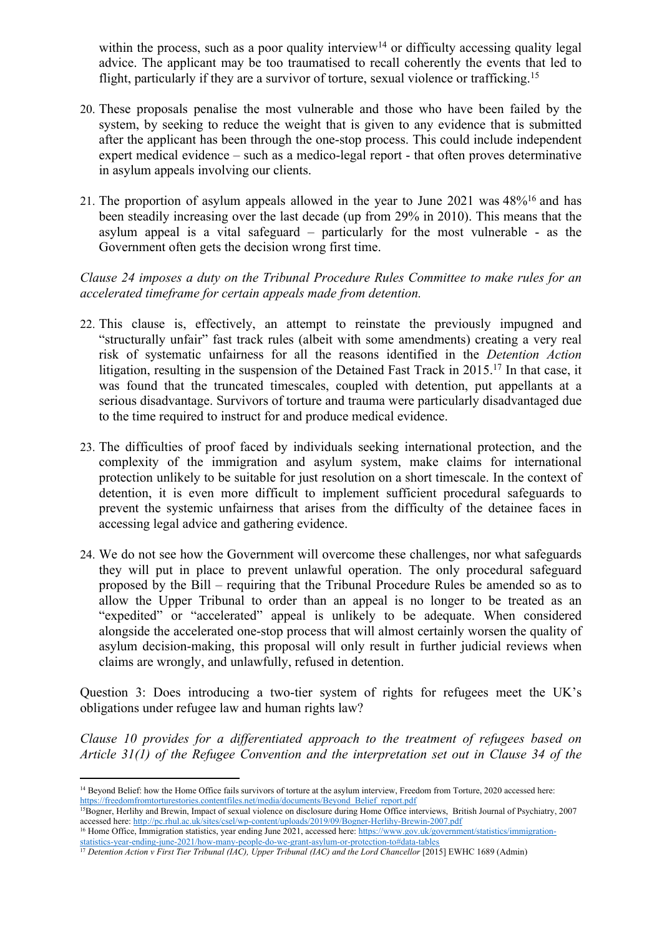within the process, such as a poor quality interview<sup>14</sup> or difficulty accessing quality legal advice. The applicant may be too traumatised to recall coherently the events that led to flight, particularly if they are a survivor of torture, sexual violence or trafficking.<sup>15</sup>

- 20. These proposals penalise the most vulnerable and those who have been failed by the system, by seeking to reduce the weight that is given to any evidence that is submitted after the applicant has been through the one-stop process. This could include independent expert medical evidence – such as a medico-legal report - that often proves determinative in asylum appeals involving our clients.
- 21. The [pr](https://www.gov.uk/government/statistics/immigration-statistics-year-ending-june-2021/how-many-people-do-we-grant-asylum-or-protection-to#data-tables)oportion of asylum appeals allowed in the year to June 2021 was 48%<sup>16</sup> and has been steadily increasing over the last decade (up from 29% in 2010). This means that the asylum appeal is a vital safeguard – particularly for the most vulnerable - as the Government often gets the decision wrong first time.

## *Clause 24 imposes a duty on the Tribunal Procedure Rules Committee to make rules for an accelerated timeframe for certain appeals made from detention.*

- 22. This clause is, effectively, an attempt to reinstate the previously impugned and "structurally unfair" fast track rules (albeit with some amendments) creating a very real risk of systematic unfairness for all the reasons identified in the *Detention Action* litigation, resulting in the suspension of the Detained Fast Track in 2015.<sup>17</sup> In that case, it was found that the truncated timescales, coupled with detention, put appellants at a serious disadvantage. Survivors of torture and trauma were particularly disadvantaged due to the time required to instruct for and produce medical evidence.
- 23. The difficulties of proof faced by individuals seeking international protection, and the complexity of the immigration and asylum system, make claims for international protection unlikely to be suitable for just resolution on a short timescale. In the context of detention, it is even more difficult to implement sufficient procedural safeguards to prevent the systemic unfairness that arises from the difficulty of the detainee faces in accessing legal advice and gathering evidence.
- 24. We do not see how the Government will overcome these challenges, nor what safeguards they will put in place to prevent unlawful operation. The only procedural safeguard proposed by the Bill – requiring that the Tribunal Procedure Rules be amended so as to allow the Upper Tribunal to order than an appeal is no longer to be treated as an "expedited" or "accelerated" appeal is unlikely to be adequate. When considered alongside the accelerated one-stop process that will almost certainly worsen the quality of asylum decision-making, this proposal will only result in further judicial reviews when claims are wrongly, and unlawfully, refused in detention.

Question 3: Does introducing a two-tier system of rights for refugees meet the UK's obligations under refugee law and human rights law?

*Clause 10 provides for a differentiated approach to the treatment of refugees based on Article 31(1) of the Refugee Convention and the interpretation set out in Clause 34 of the*

<sup>14</sup> Beyond Belief: how the Home Office fails survivors of torture at the asylum interview, Freedom from Torture, 2020 accessed here: [https://freedomfromtorturestories.contentfiles.net/media/documents/Beyond\\_Belief\\_report.pdf](https://freedomfromtorturestories.contentfiles.net/media/documents/Beyond_Belief_report.pdf)

<sup>15</sup>Bogner, Herlihy and Brewin, Impact of sexual violence on disclosure during Home Office interviews, British Journal of Psychiatry, 2007 accessed here: <http://pc.rhul.ac.uk/sites/csel/wp-content/uploads/2019/09/Bogner-Herlihy-Brewin-2007.pdf>

<sup>16</sup> Home Office, Immigration statistics, year ending June 2021, accessed here: [https://www.gov.uk/government/statistics/immigration](https://www.gov.uk/government/statistics/immigration-statistics-year-ending-june-2021/how-many-people-do-we-grant-asylum-or-protection-to#data-tables)[statistics-year-ending-june-2021/how-many-people-do-we-grant-asylum-or-protection-to#data-tables](https://www.gov.uk/government/statistics/immigration-statistics-year-ending-june-2021/how-many-people-do-we-grant-asylum-or-protection-to#data-tables)

<sup>17</sup> *Detention Action v First Tier Tribunal (IAC), Upper Tribunal (IAC) and the Lord Chancellor* [2015] EWHC 1689 (Admin)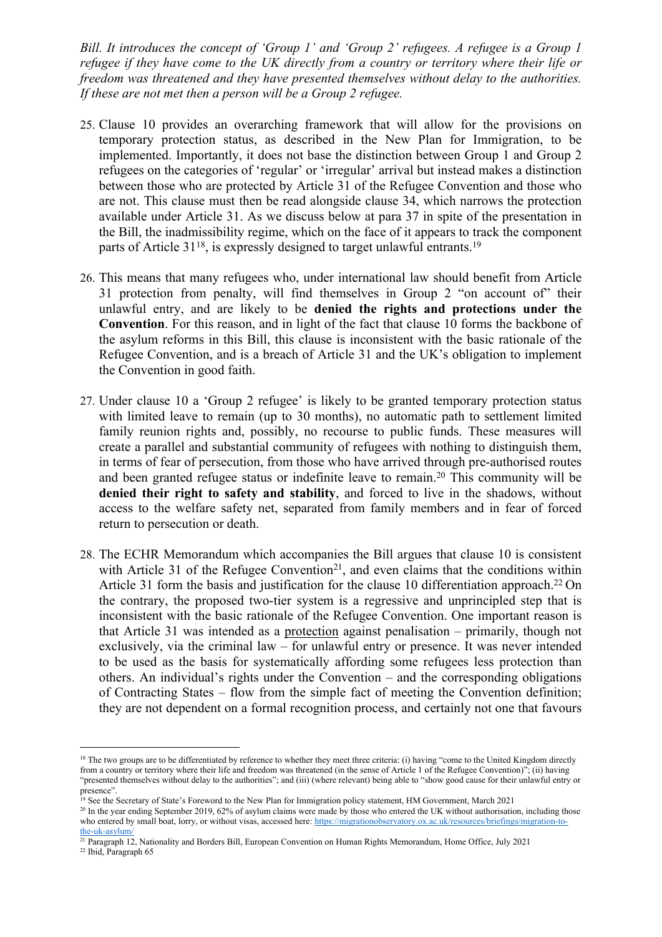*Bill. It introduces the concept of 'Group 1' and 'Group 2' refugees. A refugee is a Group 1 refugee if they have come to the UK directly from a country or territory where their life or freedom was threatened and they have presented themselves without delay to the authorities. If these are not met then a person will be a Group 2 refugee.*

- 25. Clause 10 provides an overarching framework that will allow for the provisions on temporary protection status, as described in the New Plan for Immigration, to be implemented. Importantly, it does not base the distinction between Group 1 and Group 2 refugees on the categories of 'regular' or 'irregular' arrival but instead makes a distinction between those who are protected by Article 31 of the Refugee Convention and those who are not. This clause must then be read alongside clause 34, which narrows the protection available under Article 31. As we discuss below at para 37 in spite of the presentation in the Bill, the inadmissibility regime, which on the face of it appears to track the component parts of Article 31<sup>18</sup>, is expressly designed to target unlawful entrants.<sup>19</sup>
- 26. This means that many refugees who, under international law should benefit from Article 31 protection from penalty, will find themselves in Group 2 "on account of" their unlawful entry, and are likely to be **denied the rights and protections under the Convention**. For this reason, and in light of the fact that clause 10 forms the backbone of the asylum reforms in this Bill, this clause is inconsistent with the basic rationale of the Refugee Convention, and is a breach of Article 31 and the UK's obligation to implement the Convention in good faith.
- 27. Under clause 10 a 'Group 2 refugee' is likely to be granted temporary protection status with limited leave to remain (up to 30 months), no automatic path to settlement limited family reunion rights and, possibly, no recourse to public funds. These measures will create a parallel and substantial community of refugees with nothing to distinguish them, in terms of fear of persecution, from those who have arrived through pre-authorised routes and been granted refugee status or indefinite leave to remain.<sup>20</sup> This community will be **denied their right to safety and stability**, and forced to live in the shadows, without access to the welfare safety net, separated from family members and in fear of forced return to persecution or death.
- 28. The ECHR Memorandum which accompanies the Bill argues that clause 10 is consistent with Article 31 of the Refugee Convention<sup>21</sup>, and even claims that the conditions within Article 31 form the basis and justification for the clause 10 differentiation approach.<sup>22</sup> On the contrary, the proposed two-tier system is a regressive and unprincipled step that is inconsistent with the basic rationale of the Refugee Convention. One important reason is that Article 31 was intended as a protection against penalisation – primarily, though not exclusively, via the criminal law – for unlawful entry or presence. It was never intended to be used as the basis for systematically affording some refugees less protection than others. An individual's rights under the Convention – and the corresponding obligations of Contracting States – flow from the simple fact of meeting the Convention definition; they are not dependent on a formal recognition process, and certainly not one that favours

<sup>19</sup> See the Secretary of State's Foreword to the New Plan for Immigration policy statement, HM Government, March 2021

<sup>&</sup>lt;sup>18</sup> The two groups are to be differentiated by reference to whether they meet three criteria: (i) having "come to the United Kingdom directly from a country or territory where their life and freedom was threatened (in the sense of Article 1 of the Refugee Convention)"; (ii) having "presented themselves without delay to the authorities"; and (iii) (where relevant) being able to "show good cause for their unlawful entry or presence".

<sup>&</sup>lt;sup>20</sup> In the year ending September 2019, 62% of asylum claims were made by those who entered the UK without authorisation, including those who entered by small boat, lorry, or without visas, accessed here: [https://migrationobservatory.ox.ac.uk/resources/briefings/migration-to](https://migrationobservatory.ox.ac.uk/resources/briefings/migration-to-the-uk-asylum/)[the-uk-asylum/](https://migrationobservatory.ox.ac.uk/resources/briefings/migration-to-the-uk-asylum/)

<sup>&</sup>lt;sup>21</sup> Paragraph 12, Nationality and Borders Bill, European Convention on Human Rights Memorandum, Home Office, July 2021

<sup>22</sup> Ibid, Paragraph 65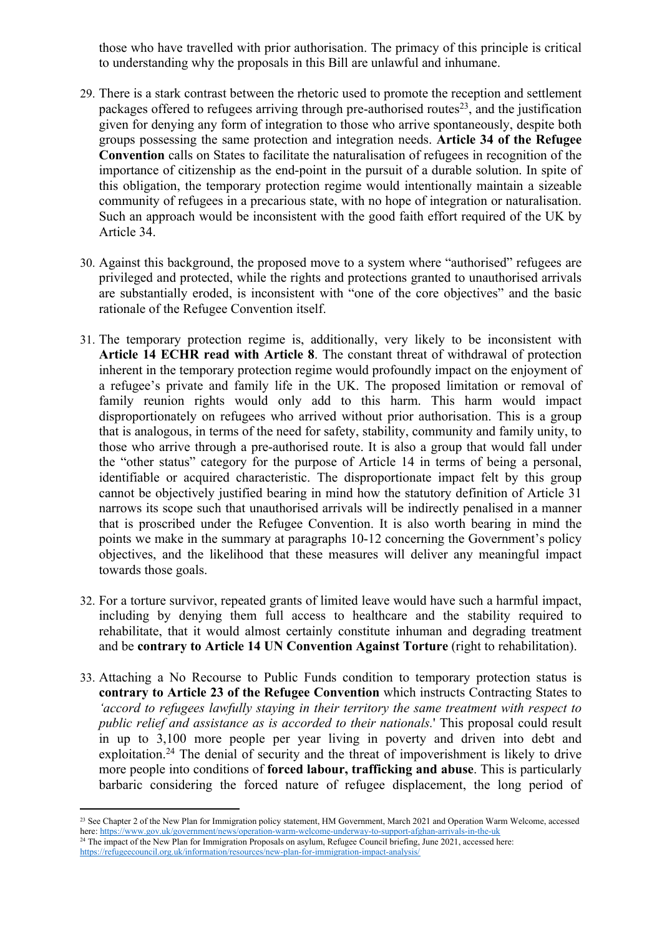those who have travelled with prior authorisation. The primacy of this principle is critical to understanding why the proposals in this Bill are unlawful and inhumane.

- 29. There is a stark contrast between the rhetoric used to promote the reception and settlement packages offered to refugees arriving through pre-authorised routes<sup>23</sup>, and the justification given for denying any form of integration to those who arrive spontaneously, despite both groups possessing the same protection and integration needs. **Article 34 of the Refugee Convention** calls on States to facilitate the naturalisation of refugees in recognition of the importance of citizenship as the end-point in the pursuit of a durable solution. In spite of this obligation, the temporary protection regime would intentionally maintain a sizeable community of refugees in a precarious state, with no hope of integration or naturalisation. Such an approach would be inconsistent with the good faith effort required of the UK by Article 34.
- 30. Against this background, the proposed move to a system where "authorised" refugees are privileged and protected, while the rights and protections granted to unauthorised arrivals are substantially eroded, is inconsistent with "one of the core objectives" and the basic rationale of the Refugee Convention itself.
- 31. The temporary protection regime is, additionally, very likely to be inconsistent with **Article 14 ECHR read with Article 8**. The constant threat of withdrawal of protection inherent in the temporary protection regime would profoundly impact on the enjoyment of a refugee's private and family life in the UK. The proposed limitation or removal of family reunion rights would only add to this harm. This harm would impact disproportionately on refugees who arrived without prior authorisation. This is a group that is analogous, in terms of the need for safety, stability, community and family unity, to those who arrive through a pre-authorised route. It is also a group that would fall under the "other status" category for the purpose of Article 14 in terms of being a personal, identifiable or acquired characteristic. The disproportionate impact felt by this group cannot be objectively justified bearing in mind how the statutory definition of Article 31 narrows its scope such that unauthorised arrivals will be indirectly penalised in a manner that is proscribed under the Refugee Convention. It is also worth bearing in mind the points we make in the summary at paragraphs 10-12 concerning the Government's policy objectives, and the likelihood that these measures will deliver any meaningful impact towards those goals.
- 32. For a torture survivor, repeated grants of limited leave would have such a harmful impact, including by denying them full access to healthcare and the stability required to rehabilitate, that it would almost certainly constitute inhuman and degrading treatment and be **contrary to Article 14 UN Convention Against Torture** (right to rehabilitation).
- 33. Attaching a No Recourse to Public Funds condition to temporary protection status is **contrary to Article 23 of the Refugee Convention** which instructs Contracting States to *'accord to refugees lawfully staying in their territory the same treatment with respect to public relief and assistance as is accorded to their nationals.*' This proposal could result in up to 3,100 more people per year living in poverty and driven into debt and exploitation.<sup>24</sup> The denial of security and the threat of impoverishment is likely to drive more people into conditions of **forced labour, trafficking and abuse**. This is particularly barbaric considering the forced nature of refugee displacement, the long period of

<sup>&</sup>lt;sup>23</sup> See Chapter 2 of the New Plan for Immigration policy statement, HM Government, March 2021 and Operation Warm Welcome, accessed here: <https://www.gov.uk/government/news/operation-warm-welcome-underway-to-support-afghan-arrivals-in-the-uk> <sup>24</sup> The impact of the New Plan for Immigration Proposals on asylum, Refugee Council briefing, June 2021, accessed here: <https://refugeecouncil.org.uk/information/resources/new-plan-for-immigration-impact-analysis/>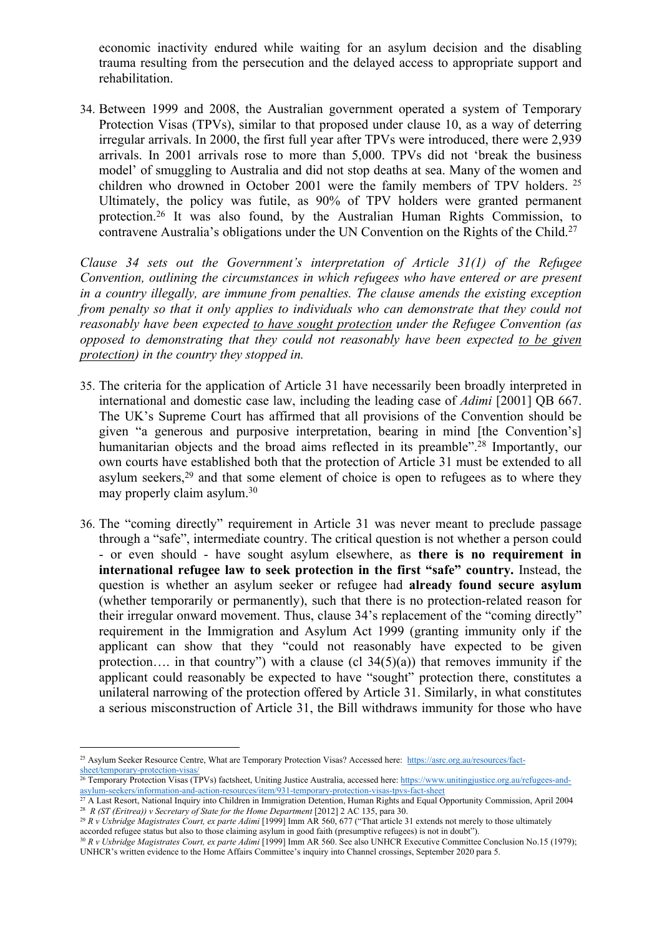economic inactivity endured while waiting for an asylum decision and the disabling trauma resulting from the persecution and the delayed access to appropriate support and rehabilitation.

34. Between 1999 and 2008, the Australian government operated a system of Temporary Protection Visas (TPVs), similar to that proposed under clause 10, as a way of deterring irregular arrivals. In 2000, the first full year after TPVs were introduced, there were 2,939 arrivals. In 2001 arrivals rose to more than 5,000. TPVs did not 'break the business model' of smuggling to Australia and did not stop deaths at sea. Many of the women and children who drowned in October 2001 were the family members of TPV holders. <sup>25</sup> Ultimately, the policy was futile, as 90% of TPV holders were granted permanent protection.<sup>26</sup> It was also found, by the Australian Human Rights Commission, to contravene Australia's obligations under the UN Convention on the Rights of the Child.<sup>27</sup>

*Clause 34 sets out the Government's interpretation of Article 31(1) of the Refugee Convention, outlining the circumstances in which refugees who have entered or are present in a country illegally, are immune from penalties. The clause amends the existing exception from penalty so that it only applies to individuals who can demonstrate that they could not reasonably have been expected to have sought protection under the Refugee Convention (as opposed to demonstrating that they could not reasonably have been expected to be given protection) in the country they stopped in.*

- 35. The criteria for the application of Article 31 have necessarily been broadly interpreted in international and domestic case law, including the leading case of *Adimi* [2001] QB 667. The UK's Supreme Court has affirmed that all provisions of the Convention should be given "a generous and purposive interpretation, bearing in mind [the Convention's] humanitarian objects and the broad aims reflected in its preamble".<sup>28</sup> Importantly, our own courts have established both that the protection of Article 31 must be extended to all asylum seekers,<sup>29</sup> and that some element of choice is open to refugees as to where they may properly claim asylum.<sup>30</sup>
- 36. The "coming directly" requirement in Article 31 was never meant to preclude passage through a "safe", intermediate country. The critical question is not whether a person could - or even should - have sought asylum elsewhere, as **there is no requirement in international refugee law to seek protection in the first "safe" country.** Instead, the question is whether an asylum seeker or refugee had **already found secure asylum** (whether temporarily or permanently), such that there is no protection-related reason for their irregular onward movement. Thus, clause 34's replacement of the "coming directly" requirement in the Immigration and Asylum Act 1999 (granting immunity only if the applicant can show that they "could not reasonably have expected to be given protection…. in that country") with a clause (cl  $34(5)(a)$ ) that removes immunity if the applicant could reasonably be expected to have "sought" protection there, constitutes a unilateral narrowing of the protection offered by Article 31. Similarly, in what constitutes a serious misconstruction of Article 31, the Bill withdraws immunity for those who have

<sup>25</sup> Asylum Seeker Resource Centre, What are Temporary Protection Visas? Accessed here: [https://asrc.org.au/resources/fact](https://asrc.org.au/resources/fact-sheet/temporary-protection-visas/)[sheet/temporary-protection-visas/](https://asrc.org.au/resources/fact-sheet/temporary-protection-visas/)

<sup>&</sup>lt;sup>26</sup> Temporary Protection Visas (TPVs) factsheet, Uniting Justice Australia, accessed here: [https://www.unitingjustice.org.au/refugees-and](https://www.unitingjustice.org.au/refugees-and-asylum-seekers/information-and-action-resources/item/931-temporary-protection-visas-tpvs-fact-sheet)[asylum-seekers/information-and-action-resources/item/931-temporary-protection-visas-tpvs-fact-sheet](https://www.unitingjustice.org.au/refugees-and-asylum-seekers/information-and-action-resources/item/931-temporary-protection-visas-tpvs-fact-sheet)

<sup>&</sup>lt;sup>27</sup> A Last Resort, National Inquiry into Children in Immigration Detention, Human Rights and Equal Opportunity Commission, April 2004 <sup>28</sup> *R (ST (Eritrea)) v Secretary of State for the Home Department* [2012] 2 AC 135, para 30.

<sup>29</sup> *R v Uxbridge Magistrates Court, ex parte Adimi* [1999] Imm AR 560, 677 ("That article 31 extends not merely to those ultimately accorded refugee status but also to those claiming asylum in good faith (presumptive refugees) is not in doubt").

<sup>30</sup> *R v Uxbridge Magistrates Court, ex parte Adimi* [1999] Imm AR 560. See also UNHCR Executive Committee Conclusion No.15 (1979); UNHCR's written evidence to the Home Affairs Committee's inquiry into Channel crossings, September 2020 para 5.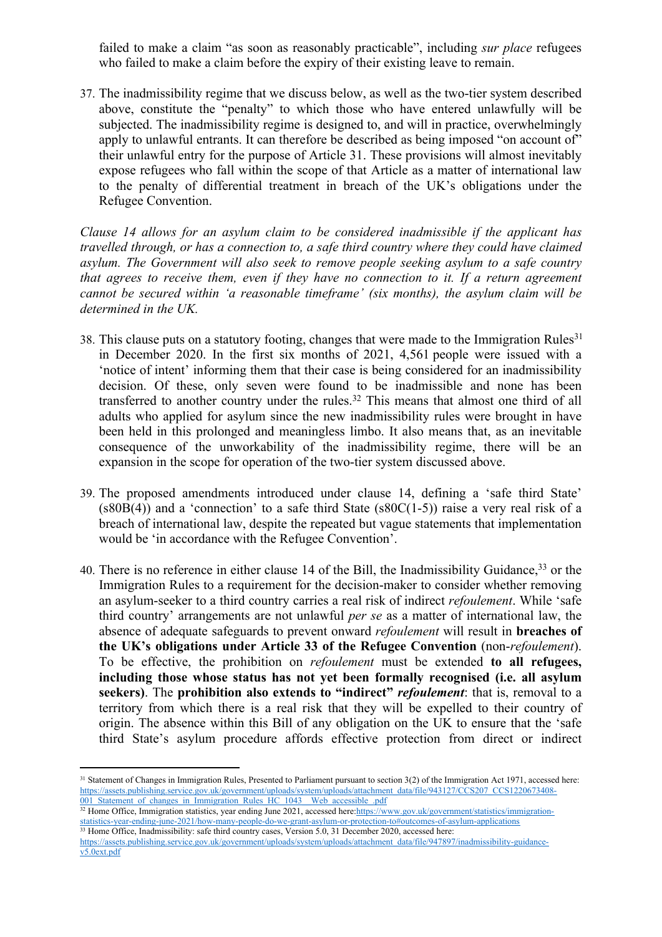failed to make a claim "as soon as reasonably practicable", including *sur place* refugees who failed to make a claim before the expiry of their existing leave to remain.

37. The inadmissibility regime that we discuss below, as well as the two-tier system described above, constitute the "penalty" to which those who have entered unlawfully will be subjected. The inadmissibility regime is designed to, and will in practice, overwhelmingly apply to unlawful entrants. It can therefore be described as being imposed "on account of" their unlawful entry for the purpose of Article 31. These provisions will almost inevitably expose refugees who fall within the scope of that Article as a matter of international law to the penalty of differential treatment in breach of the UK's obligations under the Refugee Convention.

*Clause 14 allows for an asylum claim to be considered inadmissible if the applicant has travelled through, or has a connection to, a safe third country where they could have claimed asylum. The Government will also seek to remove people seeking asylum to a safe country that agrees to receive them, even if they have no connection to it. If a return agreement cannot be secured within 'a reasonable timeframe' (six months), the asylum claim will be determined in the UK.*

- 38. This clause puts on a statutory footing, changes that were made to the [Immigration](https://assets.publishing.service.gov.uk/government/uploads/system/uploads/attachment_data/file/943127/CCS207_CCS1220673408-001_Statement_of_changes_in_Immigration_Rules_HC_1043__Web_accessible_.pdf) [Rules](https://assets.publishing.service.gov.uk/government/uploads/system/uploads/attachment_data/file/943127/CCS207_CCS1220673408-001_Statement_of_changes_in_Immigration_Rules_HC_1043__Web_accessible_.pdf)<sup>31</sup> in December 2020. In the first six months of 2021, 4,561 people were issued with a 'notice of intent' informing them that their case is being considered for an inadmissibility decision. Of these, only seven were found to be inadmissible and none has been transferred to another country under the rules.<sup>32</sup> This means that almost one third of all adults who applied for asylum since the new inadmissibility rules were brought in have been held in this prolonged and meaningless limbo. It also means that, as an inevitable consequence of the unworkability of the inadmissibility regime, there will be an expansion in the scope for operation of the two-tier system discussed above.
- 39. The proposed amendments introduced under clause 14, defining a 'safe third State'  $(s80B(4))$  and a 'connection' to a safe third State  $(s80C(1-5))$  raise a very real risk of a breach of international law, despite the repeated but vague statements that implementation would be 'in accordance with the Refugee Convention'.
- 40. There is no reference in either clause 14 of the Bill, the Inadmissibility Guidance, <sup>33</sup> or the Immigration Rules to a requirement for the decision-maker to consider whether removing an asylum-seeker to a third country carries a real risk of indirect *refoulement*. While 'safe third country' arrangements are not unlawful *per se* as a matter of international law, the absence of adequate safeguards to prevent onward *refoulement* will result in **breaches of the UK's obligations under Article 33 of the Refugee Convention** (non-*refoulement*). To be effective, the prohibition on *refoulement* must be extended **to all refugees, including those whose status has not yet been formally recognised (i.e. all asylum seekers)**. The **prohibition also extends to "indirect"** *refoulement*: that is, removal to a territory from which there is a real risk that they will be expelled to their country of origin. The absence within this Bill of any obligation on the UK to ensure that the 'safe third State's asylum procedure affords effective protection from direct or indirect

[https://assets.publishing.service.gov.uk/government/uploads/system/uploads/attachment\\_data/file/947897/inadmissibility-guidance](https://assets.publishing.service.gov.uk/government/uploads/system/uploads/attachment_data/file/947897/inadmissibility-guidance-v5.0ext.pdf)[v5.0ext.pdf](https://assets.publishing.service.gov.uk/government/uploads/system/uploads/attachment_data/file/947897/inadmissibility-guidance-v5.0ext.pdf)

<sup>&</sup>lt;sup>31</sup> Statement of Changes in Immigration Rules, Presented to Parliament pursuant to section 3(2) of the Immigration Act 1971, accessed here: [https://assets.publishing.service.gov.uk/government/uploads/system/uploads/attachment\\_data/file/943127/CCS207\\_CCS1220673408-](https://assets.publishing.service.gov.uk/government/uploads/system/uploads/attachment_data/file/943127/CCS207_CCS1220673408-001_Statement_of_changes_in_Immigration_Rules_HC_1043__Web_accessible_.pdf) [001\\_Statement\\_of\\_changes\\_in\\_Immigration\\_Rules\\_HC\\_1043\\_\\_Web\\_accessible\\_.pdf](https://assets.publishing.service.gov.uk/government/uploads/system/uploads/attachment_data/file/943127/CCS207_CCS1220673408-001_Statement_of_changes_in_Immigration_Rules_HC_1043__Web_accessible_.pdf)

<sup>&</sup>lt;sup>32</sup> Home Office, Immigration statistics, year ending June 2021, accessed here:[https://www.gov.uk/government/statistics/immigration](https://www.gov.uk/government/statistics/immigration-statistics-year-ending-june-2021/how-many-people-do-we-grant-asylum-or-protection-to#outcomes-of-asylum-applications)[statistics-year-ending-june-2021/how-many-people-do-we-grant-asylum-or-protection-to#outcomes-of-asylum-applications](https://www.gov.uk/government/statistics/immigration-statistics-year-ending-june-2021/how-many-people-do-we-grant-asylum-or-protection-to#outcomes-of-asylum-applications) <sup>33</sup> Home Office, Inadmissibility: safe third country cases, Version 5.0, 31 December 2020, accessed here: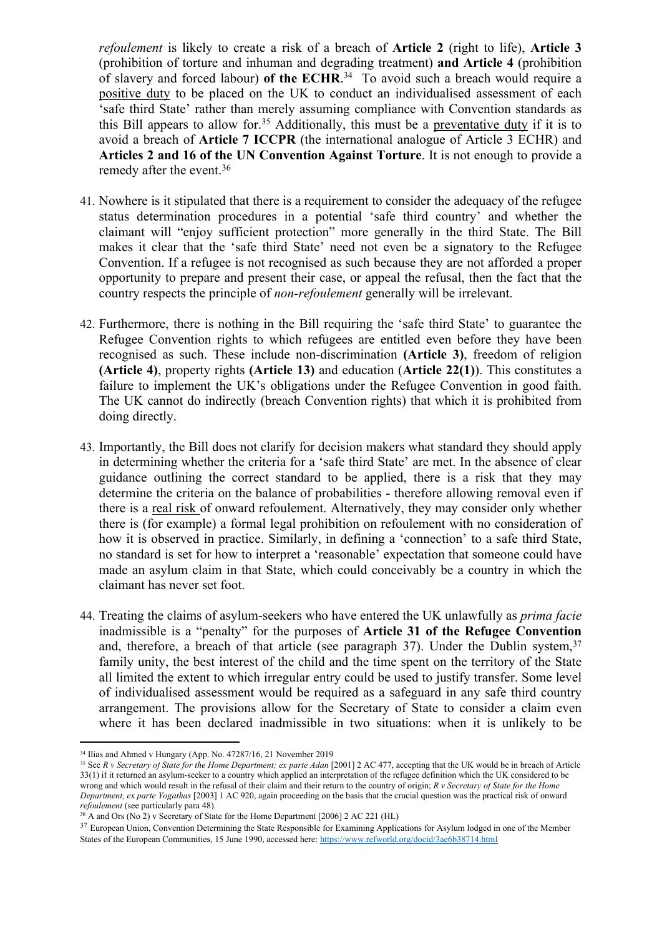*refoulement* is likely to create a risk of a breach of **Article 2** (right to life), **Article 3** (prohibition of torture and inhuman and degrading treatment) **and Article 4** (prohibition of slavery and forced labour) **of the ECHR**. 34 To avoid such a breach would require a positive duty to be placed on the UK to conduct an individualised assessment of each 'safe third State' rather than merely assuming compliance with Convention standards as this Bill appears to allow for.<sup>35</sup> Additionally, this must be a preventative duty if it is to avoid a breach of **Article 7 ICCPR** (the international analogue of Article 3 ECHR) and **Articles 2 and 16 of the UN Convention Against Torture**. It is not enough to provide a remedy after the event.<sup>36</sup>

- 41. Nowhere is it stipulated that there is a requirement to consider the adequacy of the refugee status determination procedures in a potential 'safe third country' and whether the claimant will "enjoy sufficient protection" more generally in the third State. The Bill makes it clear that the 'safe third State' need not even be a signatory to the Refugee Convention. If a refugee is not recognised as such because they are not afforded a proper opportunity to prepare and present their case, or appeal the refusal, then the fact that the country respects the principle of *non-refoulement* generally will be irrelevant.
- 42. Furthermore, there is nothing in the Bill requiring the 'safe third State' to guarantee the Refugee Convention rights to which refugees are entitled even before they have been recognised as such. These include non-discrimination **(Article 3)**, freedom of religion **(Article 4)**, property rights **(Article 13)** and education (**Article 22(1)**). This constitutes a failure to implement the UK's obligations under the Refugee Convention in good faith. The UK cannot do indirectly (breach Convention rights) that which it is prohibited from doing directly.
- 43. Importantly, the Bill does not clarify for decision makers what standard they should apply in determining whether the criteria for a 'safe third State' are met. In the absence of clear guidance outlining the correct standard to be applied, there is a risk that they may determine the criteria on the balance of probabilities - therefore allowing removal even if there is a real risk of onward refoulement. Alternatively, they may consider only whether there is (for example) a formal legal prohibition on refoulement with no consideration of how it is observed in practice. Similarly, in defining a 'connection' to a safe third State, no standard is set for how to interpret a 'reasonable' expectation that someone could have made an asylum claim in that State, which could conceivably be a country in which the claimant has never set foot.
- 44. Treating the claims of asylum-seekers who have entered the UK unlawfully as *prima facie* inadmissible is a "penalty" for the purposes of **Article 31 of the Refugee Convention** and, therefore, a breach of that article (see paragraph 37). Under the Dublin system,  $37$ family unity, the best interest of the child and the time spent on the territory of the State all limited the extent to which irregular entry could be used to justify transfer. Some level of individualised assessment would be required as a safeguard in any safe third country arrangement. The provisions allow for the Secretary of State to consider a claim even where it has been declared inadmissible in two situations: when it is unlikely to be

<sup>34</sup> Ilias and Ahmed v Hungary (App. No. 47287/16, 21 November 2019

<sup>35</sup> See *R v Secretary of State for the Home Department; ex parte Adan* [2001] 2 AC 477, accepting that the UK would be in breach of Article 33(1) if it returned an asylum-seeker to a country which applied an interpretation of the refugee definition which the UK considered to be wrong and which would result in the refusal of their claim and their return to the country of origin; *R v Secretary of State for the Home Department, ex parte Yogathas* [2003] 1 AC 920, again proceeding on the basis that the crucial question was the practical risk of onward *refoulement* (see particularly para 48)*.*

<sup>&</sup>lt;sup>36</sup> A and Ors (No<sup>2</sup>) v Secretary of State for the Home Department [2006] 2 AC 221 (HL)

<sup>&</sup>lt;sup>37</sup> European Union, Convention Determining the State Responsible for Examining Applications for Asylum lodged in one of the Member States of the European Communities, 15 June 1990, accessed here: <https://www.refworld.org/docid/3ae6b38714.html>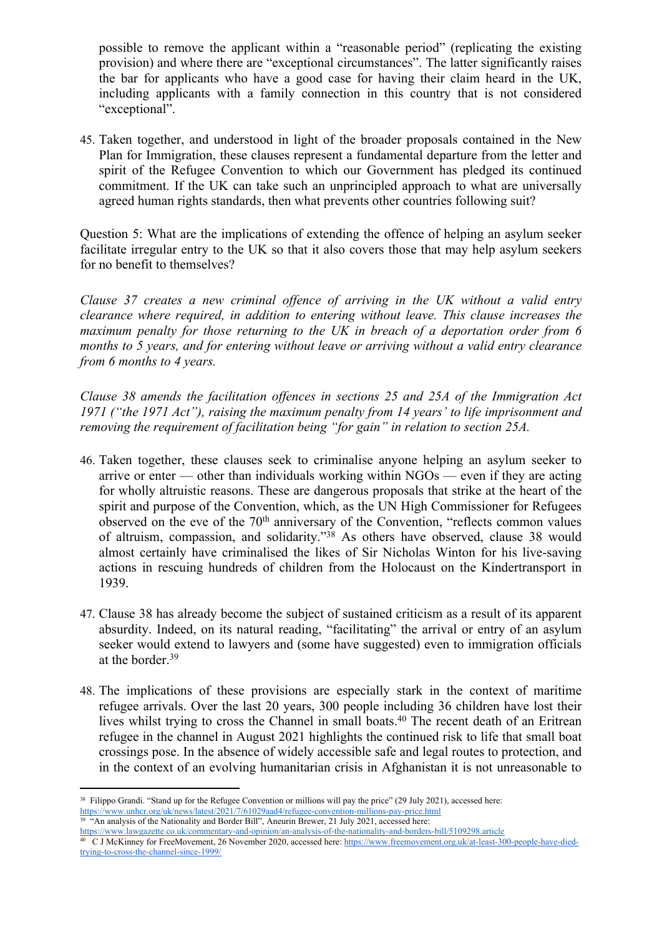possible to remove the applicant within a "reasonable period" (replicating the existing provision) and where there are "exceptional circumstances". The latter significantly raises the bar for applicants who have a good case for having their claim heard in the UK, including applicants with a family connection in this country that is not considered "exceptional".

45. Taken together, and understood in light of the broader proposals contained in the New Plan for Immigration, these clauses represent a fundamental departure from the letter and spirit of the Refugee Convention to which our Government has pledged its continued commitment. If the UK can take such an unprincipled approach to what are universally agreed human rights standards, then what prevents other countries following suit?

Question 5: What are the implications of extending the offence of helping an asylum seeker facilitate irregular entry to the UK so that it also covers those that may help asylum seekers for no benefit to themselves?

*Clause 37 creates a new criminal offence of arriving in the UK without a valid entry clearance where required, in addition to entering without leave. This clause increases the maximum penalty for those returning to the UK in breach of a deportation order from 6 months to 5 years, and for entering without leave or arriving without a valid entry clearance from 6 months to 4 years.*

*Clause 38 amends the facilitation offences in sections 25 and 25A of the Immigration Act 1971 ("the 1971 Act"), raising the maximum penalty from 14 years' to life imprisonment and removing the requirement of facilitation being "for gain" in relation to section 25A.*

- 46. Taken together, these clauses seek to criminalise anyone helping an asylum seeker to arrive or enter — other than individuals working within  $NGOs$  — even if they are acting for wholly altruistic reasons. These are dangerous proposals that strike at the heart of the spirit and purpose of the Convention, which, as the UN High Commissioner for Refugees observed on the eve of the 70<sup>th</sup> anniversary of the Convention, "reflects common values of altruism, compassion, and solidarity."<sup>38</sup> As others have observed, clause 38 would almost certainly have criminalised the likes of Sir Nicholas Winton for his live-saving actions in rescuing hundreds of children from the Holocaust on the Kindertransport in 1939.
- 47. Clause 38 has already become the subject of sustained criticism as a result of its apparent absurdity. Indeed, on its natural reading, "facilitating" the arrival or entry of an asylum seeker would extend to lawyers and (some have suggested) even to immigration officials at the border.<sup>39</sup>
- 48. The implications of these provisions are especially stark in the context of maritime refugee arrivals. Over the last 20 years, 300 people including 36 children have lost their lives whilst trying to cross the Channel in small boats.<sup>40</sup> The recent death of an Eritrean refugee in the channel in August 2021 highlights the continued risk to life that small boat crossings pose. In the absence of widely accessible safe and legal routes to protection, and in the context of an evolving humanitarian crisis in Afghanistan it is not unreasonable to

<sup>&</sup>lt;sup>38</sup> Filippo Grandi. "Stand up for the Refugee Convention or millions will pay the price" (29 July 2021), accessed here: <https://www.unhcr.org/uk/news/latest/2021/7/61029aad4/refugee-convention-millions-pay-price.html>

<sup>&</sup>lt;sup>39</sup> "An analysis of the Nationality and Border Bill", Aneurin Brewer, 21 July 2021, accessed here:

<https://www.lawgazette.co.uk/commentary-and-opinion/an-analysis-of-the-nationality-and-borders-bill/5109298.article><br><sup>40</sup> C J McKinney for FreeMovement, 26 November 2020, accessed here: https://www.freemovement.org.uk/at-le

[trying-to-cross-the-channel-since-1999/](https://www.freemovement.org.uk/at-least-300-people-have-died-trying-to-cross-the-channel-since-1999/)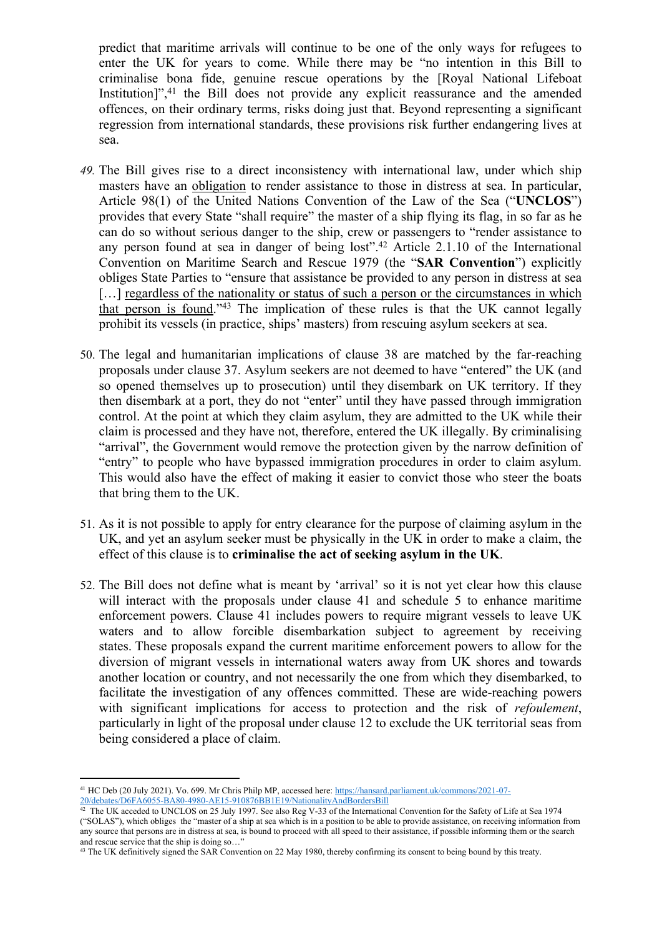predict that maritime arrivals will continue to be one of the only ways for refugees to enter the UK for years to come. While there may be "no intention in this Bill to criminalise bona fide, genuine rescue operations by the [Royal National Lifeboat Institution]",<sup>41</sup> the Bill does not provide any explicit reassurance and the amended offences, on their ordinary terms, risks doing just that. Beyond representing a significant regression from international standards, these provisions risk further endangering lives at sea.

- *49.* The Bill gives rise to a direct inconsistency with international law, under which ship masters have an obligation to render assistance to those in distress at sea. In particular, Article 98(1) of the United Nations Convention of the Law of the Sea ("**UNCLOS**") provides that every State "shall require" the master of a ship flying its flag, in so far as he can do so without serious danger to the ship, crew or passengers to "render assistance to any person found at sea in danger of being lost".<sup>42</sup> Article 2.1.10 of the International Convention on Maritime Search and Rescue 1979 (the "**SAR Convention**") explicitly obliges State Parties to "ensure that assistance be provided to any person in distress at sea [...] regardless of the nationality or status of such a person or the circumstances in which that person is found."<sup>43</sup> The implication of these rules is that the UK cannot legally prohibit its vessels (in practice, ships' masters) from rescuing asylum seekers at sea.
- 50. The legal and humanitarian implications of clause 38 are matched by the far-reaching proposals under clause 37. Asylum seekers are not deemed to have "entered" the UK (and so opened themselves up to prosecution) until they disembark on UK territory. If they then disembark at a port, they do not "enter" until they have passed through immigration control. At the point at which they claim asylum, they are admitted to the UK while their claim is processed and they have not, therefore, entered the UK illegally. By criminalising "arrival", the Government would remove the protection given by the narrow definition of "entry" to people who have bypassed immigration procedures in order to claim asylum. This would also have the effect of making it easier to convict those who steer the boats that bring them to the UK.
- 51. As it is not possible to apply for entry clearance for the purpose of claiming asylum in the UK, and yet an asylum seeker must be physically in the UK in order to make a claim, the effect of this clause is to **criminalise the act of seeking asylum in the UK**.
- 52. The Bill does not define what is meant by 'arrival' so it is not yet clear how this clause will interact with the proposals under clause 41 and schedule 5 to enhance maritime enforcement powers. Clause 41 includes powers to require migrant vessels to leave UK waters and to allow forcible disembarkation subject to agreement by receiving states. These proposals expand the current maritime enforcement powers to allow for the diversion of migrant vessels in international waters away from UK shores and towards another location or country, and not necessarily the one from which they disembarked, to facilitate the investigation of any offences committed. These are wide-reaching powers with significant implications for access to protection and the risk of *refoulement*, particularly in light of the proposal under clause 12 to exclude the UK territorial seas from being considered a place of claim.

<sup>41</sup> HC Deb (20 July 2021). Vo. 699. Mr Chris Philp MP, accessed here: [https://hansard.parliament.uk/commons/2021-07-](https://hansard.parliament.uk/commons/2021-07-20/debates/D6FA6055-BA80-4980-AE15-910876BB1E19/NationalityAndBordersBill) [20/debates/D6FA6055-BA80-4980-AE15-910876BB1E19/NationalityAndBordersBill](https://hansard.parliament.uk/commons/2021-07-20/debates/D6FA6055-BA80-4980-AE15-910876BB1E19/NationalityAndBordersBill)<br><sup>42</sup> The UK acceded to UNCLOS on 25 July 1997. See also Reg V-33 of the International Convention for the Safety of Life at Sea 1974

<sup>(&</sup>quot;SOLAS"), which obliges the "master of a ship at sea which is in a position to be able to provide assistance, on receiving information from any source that persons are in distress at sea, is bound to proceed with all speed to their assistance, if possible informing them or the search and rescue service that the ship is doing so...

<sup>43</sup> The UK definitively signed the SAR Convention on 22 May 1980, thereby confirming its consent to being bound by this treaty.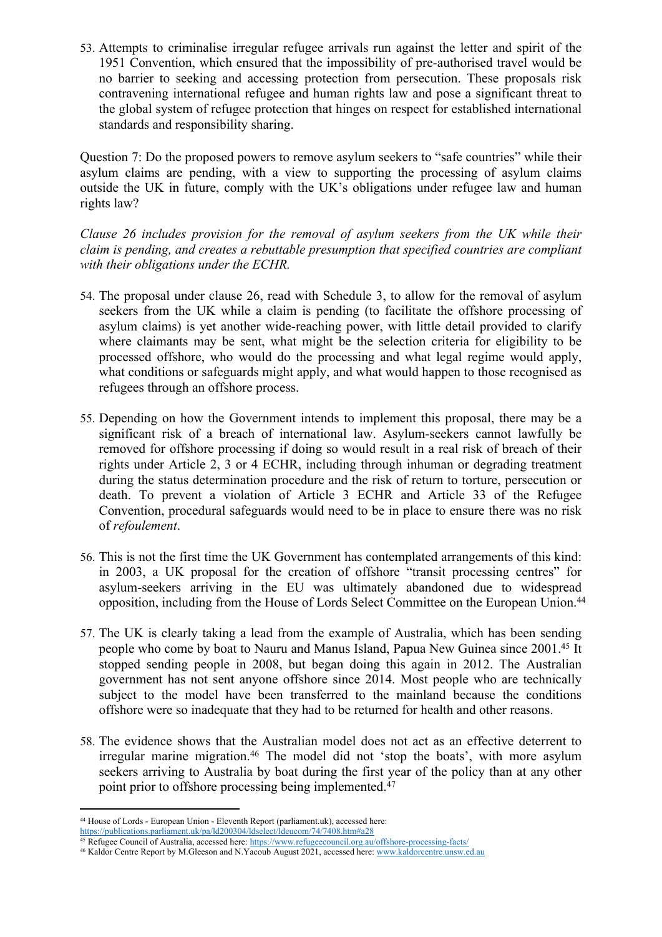53. Attempts to criminalise irregular refugee arrivals run against the letter and spirit of the 1951 Convention, which ensured that the impossibility of pre-authorised travel would be no barrier to seeking and accessing protection from persecution. These proposals risk contravening international refugee and human rights law and pose a significant threat to the global system of refugee protection that hinges on respect for established international standards and responsibility sharing.

Question 7: Do the proposed powers to remove asylum seekers to "safe countries" while their asylum claims are pending, with a view to supporting the processing of asylum claims outside the UK in future, comply with the UK's obligations under refugee law and human rights law?

*Clause 26 includes provision for the removal of asylum seekers from the UK while their claim is pending, and creates a rebuttable presumption that specified countries are compliant with their obligations under the ECHR.*

- 54. The proposal under clause 26, read with Schedule 3, to allow for the removal of asylum seekers from the UK while a claim is pending (to facilitate the offshore processing of asylum claims) is yet another wide-reaching power, with little detail provided to clarify where claimants may be sent, what might be the selection criteria for eligibility to be processed offshore, who would do the processing and what legal regime would apply, what conditions or safeguards might apply, and what would happen to those recognised as refugees through an offshore process.
- 55. Depending on how the Government intends to implement this proposal, there may be a significant risk of a breach of international law. Asylum-seekers cannot lawfully be removed for offshore processing if doing so would result in a real risk of breach of their rights under Article 2, 3 or 4 ECHR, including through inhuman or degrading treatment during the status determination procedure and the risk of return to torture, persecution or death. To prevent a violation of Article 3 ECHR and Article 33 of the Refugee Convention, procedural safeguards would need to be in place to ensure there was no risk of *refoulement*.
- 56. This is not the first time the UK Government has contemplated arrangements of this kind: in 2003, a UK proposal for the creation of offshore "transit processing centres" for asylum-seekers arriving in the EU was ultimately abandoned due to widespread opposition, including from the House of Lords Select Committee on the European Union.<sup>44</sup>
- 57. The UK is clearly taking a lead from the example of Australia, which has been sending people who come by boat to Nauru and Manus Island, Papua New Guinea since 2001.<sup>45</sup> It stopped sending people in 2008, but began doing this again in 2012. The Australian government has not sent anyone offshore since 2014. Most people who are technically subject to the model have been transferred to the mainland because the conditions offshore were so inadequate that they had to be returned for health and other reasons.
- 58. The evidence shows that the Australian model does not act as an effective deterrent to irregular marine migration.<sup>46</sup> The model did not 'stop the boats', with more asylum seekers arriving to Australia by boat during the first year of the policy than at any other point prior to offshore processing being implemented.<sup>47</sup>

<sup>44</sup> House of Lords - European Union - Eleventh Report (parliament.uk), accessed here:

<https://publications.parliament.uk/pa/ld200304/ldselect/ldeucom/74/7408.htm#a28>

<sup>45</sup> Refugee Council of Australia, accessed here: <https://www.refugeecouncil.org.au/offshore-processing-facts/>

<sup>46</sup> Kaldor Centre Report by M.Gleeson and N.Yacoub August 2021, accessed here: [www.kaldorcentre.unsw.ed.au](http://www.kaldorcentre.unsw.ed.au/)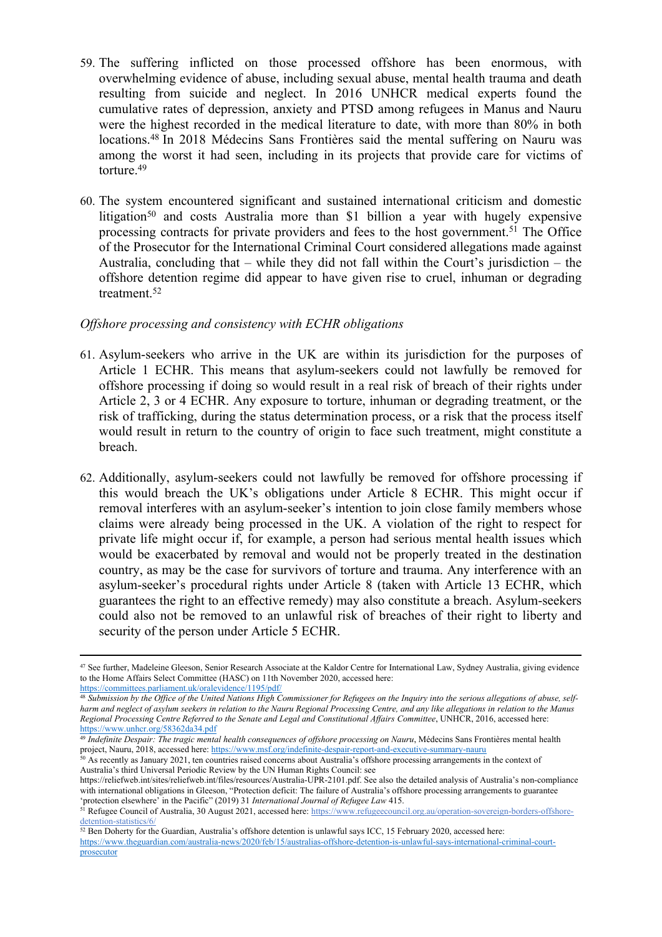- 59. The suffering inflicted on those processed offshore has been enormous, with overwhelming evidence of abuse, including sexual abuse, mental health trauma and death resulting from suicide and neglect. In 2016 UNHCR medical experts found the cumulative rates of depression, anxiety and PTSD among refugees in Manus and Nauru were the highest recorded in the medical literature to date, with more than 80% in both locations.<sup>48</sup> In 2018 Médecins Sans Frontières said the mental suffering on Nauru was among the worst it had seen, including in its projects that provide care for victims of torture<sup>49</sup>
- 60. The system encountered significant and sustained international criticism and domestic litigation<sup>50</sup> and costs Australia more than \$1 billion a year with hugely expensive processing contracts for private providers and fees to the host government.<sup>51</sup> The Office of the Prosecutor for the International Criminal Court considered allegations made against Australia, concluding that – while they did not fall within the Court's jurisdiction – the offshore detention regime did appear to have given rise to cruel, inhuman or degrading treatment.<sup>52</sup>

## *Offshore processing and consistency with ECHR obligations*

- 61. Asylum-seekers who arrive in the UK are within its jurisdiction for the purposes of Article 1 ECHR. This means that asylum-seekers could not lawfully be removed for offshore processing if doing so would result in a real risk of breach of their rights under Article 2, 3 or 4 ECHR. Any exposure to torture, inhuman or degrading treatment, or the risk of trafficking, during the status determination process, or a risk that the process itself would result in return to the country of origin to face such treatment, might constitute a breach.
- 62. Additionally, asylum-seekers could not lawfully be removed for offshore processing if this would breach the UK's obligations under Article 8 ECHR. This might occur if removal interferes with an asylum-seeker's intention to join close family members whose claims were already being processed in the UK. A violation of the right to respect for private life might occur if, for example, a person had serious mental health issues which would be exacerbated by removal and would not be properly treated in the destination country, as may be the case for survivors of torture and trauma. Any interference with an asylum-seeker's procedural rights under Article 8 (taken with Article 13 ECHR, which guarantees the right to an effective remedy) may also constitute a breach. Asylum-seekers could also not be removed to an unlawful risk of breaches of their right to liberty and security of the person under Article 5 ECHR.

<sup>50</sup> As recently as January 2021, ten countries raised concerns about Australia's offshore processing arrangements in the context of Australia's third Universal Periodic Review by the UN Human Rights Council: see

<sup>&</sup>lt;sup>47</sup> See further, Madeleine Gleeson, Senior Research Associate at the Kaldor Centre for International Law, Sydney Australia, giving evidence to the Home Affairs Select Committee (HASC) on 11th November 2020, accessed here:

<https://committees.parliament.uk/oralevidence/1195/pdf/> <sup>48</sup> Submission by the Office of the United Nations High Commissioner for Refugees on the Inquiry into the serious allegations of abuse, selfharm and neglect of asylum seekers in relation to the Nauru Regional Processing Centre, and any like allegations in relation to the Manus

*Regional Processing Centre Referred to the Senate and Legal and Constitutional Affairs Committee*, UNHCR, 2016, accessed here: <https://www.unhcr.org/58362da34.pdf>

<sup>49</sup> *Indefinite Despair: The tragic mental health consequences of offshore processing on Nauru*, Médecins Sans Frontières mental health project, Nauru, 2018, accessed here: <https://www.msf.org/indefinite-despair-report-and-executive-summary-nauru>

[https://reliefweb.int/sites/reliefweb.int/files/resources/Australia-UPR-2101.pdf.](https://reliefweb.int/sites/reliefweb.int/files/resources/Australia-UPR-2101.pdf) See also the detailed analysis of Australia's non-compliance with international obligations in Gleeson, "Protection deficit: The failure of Australia's offshore processing arrangements to guarantee 'protection elsewhere' in the Pacific" (2019) 31 *International Journal of Refugee Law* 415.

<sup>51</sup> Refugee Council of Australia, 30 August 2021, accessed here: [https://www.refugeecouncil.org.au/operation-sovereign-borders-offshore](https://www.refugeecouncil.org.au/operation-sovereign-borders-offshore-detention-statistics/6/)[detention-statistics/6/](https://www.refugeecouncil.org.au/operation-sovereign-borders-offshore-detention-statistics/6/)

<sup>52</sup> Ben Doherty for the Guardian, Australia's offshore detention is unlawful says ICC, 15 February 2020, accessed here: [https://www.theguardian.com/australia-news/2020/feb/15/australias-offshore-detention-is-unlawful-says-international-criminal-court](https://www.theguardian.com/australia-news/2020/feb/15/australias-offshore-detention-is-unlawful-says-international-criminal-court-prosecutor)[prosecutor](https://www.theguardian.com/australia-news/2020/feb/15/australias-offshore-detention-is-unlawful-says-international-criminal-court-prosecutor)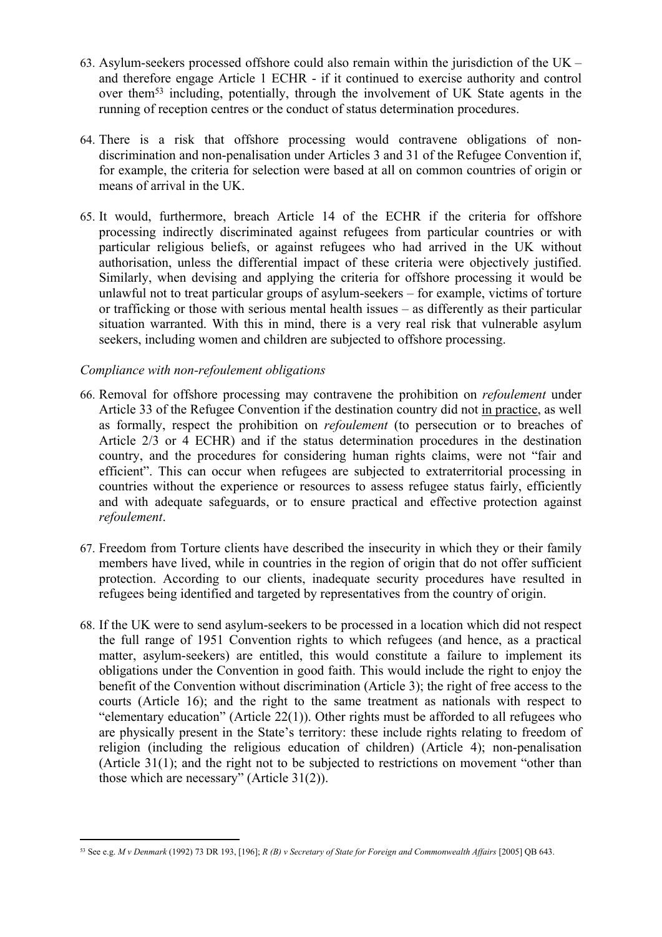- 63. Asylum-seekers processed offshore could also remain within the jurisdiction of the UK and therefore engage Article 1 ECHR - if it continued to exercise authority and control over them<sup>53</sup> including, potentially, through the involvement of UK State agents in the running of reception centres or the conduct of status determination procedures.
- 64. There is a risk that offshore processing would contravene obligations of nondiscrimination and non-penalisation under Articles 3 and 31 of the Refugee Convention if, for example, the criteria for selection were based at all on common countries of origin or means of arrival in the UK.
- 65. It would, furthermore, breach Article 14 of the ECHR if the criteria for offshore processing indirectly discriminated against refugees from particular countries or with particular religious beliefs, or against refugees who had arrived in the UK without authorisation, unless the differential impact of these criteria were objectively justified. Similarly, when devising and applying the criteria for offshore processing it would be unlawful not to treat particular groups of asylum-seekers – for example, victims of torture or trafficking or those with serious mental health issues – as differently as their particular situation warranted. With this in mind, there is a very real risk that vulnerable asylum seekers, including women and children are subjected to offshore processing.

## *Compliance with non-refoulement obligations*

- 66. Removal for offshore processing may contravene the prohibition on *refoulement* under Article 33 of the Refugee Convention if the destination country did not in practice, as well as formally, respect the prohibition on *refoulement* (to persecution or to breaches of Article 2/3 or 4 ECHR) and if the status determination procedures in the destination country, and the procedures for considering human rights claims, were not "fair and efficient". This can occur when refugees are subjected to extraterritorial processing in countries without the experience or resources to assess refugee status fairly, efficiently and with adequate safeguards, or to ensure practical and effective protection against *refoulement*.
- 67. Freedom from Torture clients have described the insecurity in which they or their family members have lived, while in countries in the region of origin that do not offer sufficient protection. According to our clients, inadequate security procedures have resulted in refugees being identified and targeted by representatives from the country of origin.
- 68. If the UK were to send asylum-seekers to be processed in a location which did not respect the full range of 1951 Convention rights to which refugees (and hence, as a practical matter, asylum-seekers) are entitled, this would constitute a failure to implement its obligations under the Convention in good faith. This would include the right to enjoy the benefit of the Convention without discrimination (Article 3); the right of free access to the courts (Article 16); and the right to the same treatment as nationals with respect to "elementary education" (Article 22(1)). Other rights must be afforded to all refugees who are physically present in the State's territory: these include rights relating to freedom of religion (including the religious education of children) (Article 4); non-penalisation (Article 31(1); and the right not to be subjected to restrictions on movement "other than those which are necessary" (Article 31(2)).

<sup>&</sup>lt;sup>53</sup> See e.g. M v Denmark (1992) 73 DR 193, [196]; R (B) v Secretary of State for Foreign and Commonwealth Affairs [2005] QB 643.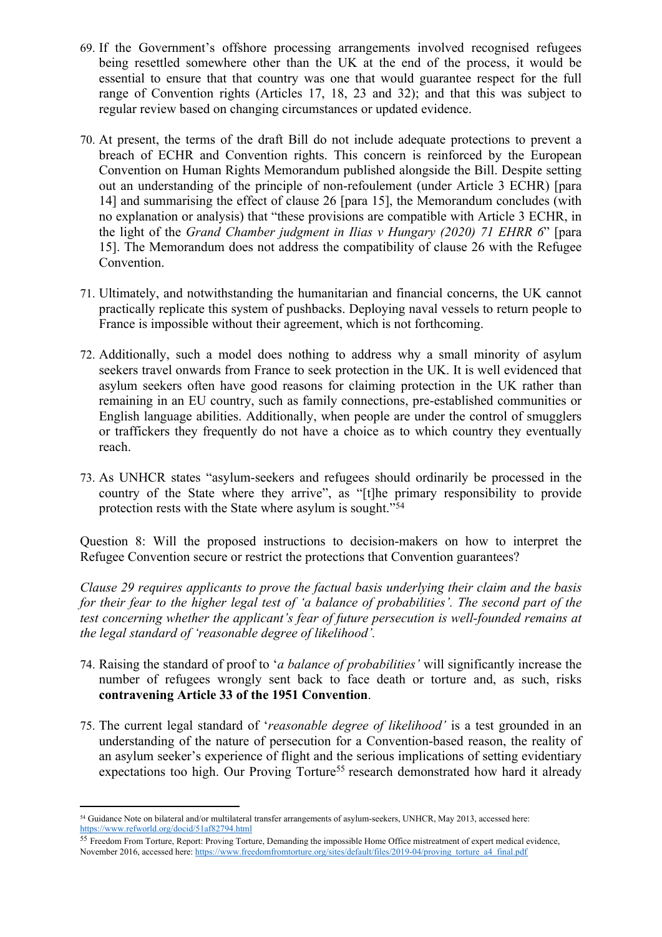- 69. If the Government's offshore processing arrangements involved recognised refugees being resettled somewhere other than the UK at the end of the process, it would be essential to ensure that that country was one that would guarantee respect for the full range of Convention rights (Articles 17, 18, 23 and 32); and that this was subject to regular review based on changing circumstances or updated evidence.
- 70. At present, the terms of the draft Bill do not include adequate protections to prevent a breach of ECHR and Convention rights. This concern is reinforced by the European Convention on Human Rights Memorandum published alongside the Bill. Despite setting out an understanding of the principle of non-refoulement (under Article 3 ECHR) [para 14] and summarising the effect of clause 26 [para 15], the Memorandum concludes (with no explanation or analysis) that "these provisions are compatible with Article 3 ECHR, in the light of the *Grand Chamber judgment in Ilias v Hungary (2020) 71 EHRR 6*" [para 15]. The Memorandum does not address the compatibility of clause 26 with the Refugee Convention.
- 71. Ultimately, and notwithstanding the humanitarian and financial concerns, the UK cannot practically replicate this system of pushbacks. Deploying naval vessels to return people to France is impossible without their agreement, which is not forthcoming.
- 72. Additionally, such a model does nothing to address why a small minority of asylum seekers travel onwards from France to seek protection in the UK. It is well evidenced that asylum seekers often have good reasons for claiming protection in the UK rather than remaining in an EU country, such as family connections, pre-established communities or English language abilities. Additionally, when people are under the control of smugglers or traffickers they frequently do not have a choice as to which country they eventually reach.
- 73. As UNHCR states "asylum-seekers and refugees should ordinarily be processed in the country of the State where they arrive", as "[t]he primary responsibility to provide protection rests with the State where asylum is sought."<sup>54</sup>

Question 8: Will the proposed instructions to decision-makers on how to interpret the Refugee Convention secure or restrict the protections that Convention guarantees?

*Clause 29 requires applicants to prove the factual basis underlying their claim and the basis for their fear to the higher legal test of 'a balance of probabilities'. The second part of the test concerning whether the applicant's fear of future persecution is well-founded remains at the legal standard of 'reasonable degree of likelihood'.*

- 74. Raising the standard of proof to '*a balance of probabilities'* will significantly increase the number of refugees wrongly sent back to face death or torture and, as such, risks **contravening Article 33 of the 1951 Convention**.
- 75. The current legal standard of '*reasonable degree of likelihood'* is a test grounded in an understanding of the nature of persecution for a Convention-based reason, the reality of an asylum seeker's experience of flight and the serious implications of setting evidentiary expectations too high. Our Proving Torture<sup>55</sup> research demonstrated how hard it already

<sup>54</sup> Guidance Note on bilateral and/or multilateral transfer arrangements of asylum-seekers, UNHCR, May 2013, accessed here: <https://www.refworld.org/docid/51af82794.html>

<sup>55</sup> Freedom From Torture, Report: Proving Torture, Demanding the impossible Home Office mistreatment of expert medical evidence, November 2016, accessed here: [https://www.freedomfromtorture.org/sites/default/files/2019-04/proving\\_torture\\_a4\\_final.pdf](https://www.freedomfromtorture.org/sites/default/files/2019-04/proving_torture_a4_final.pdf)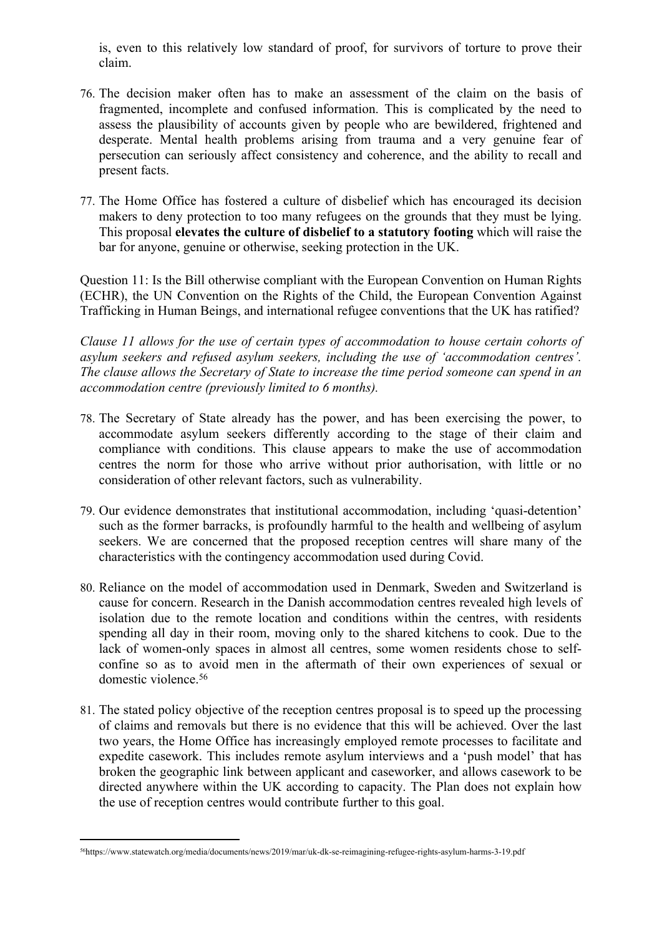is, even to this relatively low standard of proof, for survivors of torture to prove their claim.

- 76. The decision maker often has to make an assessment of the claim on the basis of fragmented, incomplete and confused information. This is complicated by the need to assess the plausibility of accounts given by people who are bewildered, frightened and desperate. Mental health problems arising from trauma and a very genuine fear of persecution can seriously affect consistency and coherence, and the ability to recall and present facts.
- 77. The Home Office has fostered a culture of disbelief which has encouraged its decision makers to deny protection to too many refugees on the grounds that they must be lying. This proposal **elevates the culture of disbelief to a statutory footing** which will raise the bar for anyone, genuine or otherwise, seeking protection in the UK.

Question 11: Is the Bill otherwise compliant with the European Convention on Human Rights (ECHR), the UN Convention on the Rights of the Child, the European Convention Against Trafficking in Human Beings, and international refugee conventions that the UK has ratified?

*Clause 11 allows for the use of certain types of accommodation to house certain cohorts of asylum seekers and refused asylum seekers, including the use of 'accommodation centres'. The clause allows the Secretary of State to increase the time period someone can spend in an accommodation centre (previously limited to 6 months).*

- 78. The Secretary of State already has the power, and has been exercising the power, to accommodate asylum seekers differently according to the stage of their claim and compliance with conditions. This clause appears to make the use of accommodation centres the norm for those who arrive without prior authorisation, with little or no consideration of other relevant factors, such as vulnerability.
- 79. Our evidence demonstrates that institutional accommodation, including 'quasi-detention' such as the former barracks, is profoundly harmful to the health and wellbeing of asylum seekers. We are concerned that the proposed reception centres will share many of the characteristics with the contingency accommodation used during Covid.
- 80. Reliance on the model of accommodation used in Denmark, Sweden and Switzerland is cause for concern. Research in the Danish accommodation centres revealed high levels of isolation due to the remote location and conditions within the centres, with residents spending all day in their room, moving only to the shared kitchens to cook. Due to the lack of women-only spaces in almost all centres, some women residents chose to selfconfine so as to avoid men in the aftermath of their own experiences of sexual or domestic violence.<sup>56</sup>
- 81. The stated policy objective of the reception centres proposal is to speed up the processing of claims and removals but there is no evidence that this will be achieved. Over the last two years, the Home Office has increasingly employed remote processes to facilitate and expedite casework. This includes remote asylum interviews and a 'push model' that has broken the geographic link between applicant and caseworker, and allows casework to be directed anywhere within the UK according to capacity. The Plan does not explain how the use of reception centres would contribute further to this goal.

<sup>56</sup>https://www.statewatch.org/media/documents/news/2019/mar/uk-dk-se-reimagining-refugee-rights-asylum-harms-3-19.pdf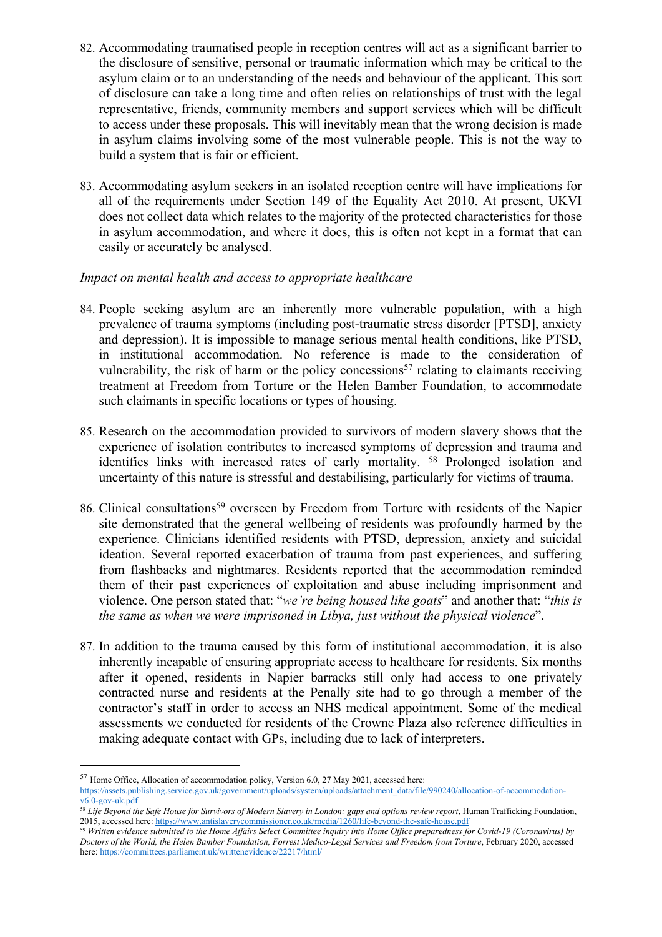- 82. Accommodating traumatised people in reception centres will act as a significant barrier to the disclosure of sensitive, personal or traumatic information which may be critical to the asylum claim or to an understanding of the needs and behaviour of the applicant. This sort of disclosure can take a long time and often relies on relationships of trust with the legal representative, friends, community members and support services which will be difficult to access under these proposals. This will inevitably mean that the wrong decision is made in asylum claims involving some of the most vulnerable people. This is not the way to build a system that is fair or efficient.
- 83. Accommodating asylum seekers in an isolated reception centre will have implications for all of the requirements under Section 149 of the Equality Act 2010. At present, UKVI does not collect data which relates to the majority of the protected characteristics for those in asylum accommodation, and where it does, this is often not kept in a format that can easily or accurately be analysed.

## *Impact on mental health and access to appropriate healthcare*

- 84. People seeking asylum are an inherently more vulnerable population, with a high prevalence of trauma symptoms (including post-traumatic stress disorder [PTSD], anxiety and depression). It is impossible to manage serious mental health conditions, like PTSD, in institutional accommodation. No reference is made to the consideration of vulnerability, the risk of harm or the policy concessions<sup>57</sup> relating to claimants receiving treatment at Freedom from Torture or the Helen Bamber Foundation, to accommodate such claimants in specific locations or types of housing.
- 85. Research on the accommodation provided to survivors of modern slavery shows that the experience of isolation contributes to increased symptoms of depression and trauma and identifies links with increased rates of early mortality. <sup>58</sup> Prolonged isolation and uncertainty of this nature is stressful and destabilising, particularly for victims of trauma.
- 86. Clinical consultations<sup>59</sup> overseen by Freedom from Torture with residents of the Napier site demonstrated that the general wellbeing of residents was profoundly harmed by the experience. Clinicians identified residents with PTSD, depression, anxiety and suicidal ideation. Several reported exacerbation of trauma from past experiences, and suffering from flashbacks and nightmares. Residents reported that the accommodation reminded them of their past experiences of exploitation and abuse including imprisonment and violence. One person stated that: "*we're being housed like goats*" and another that: "*this is the same as when we were imprisoned in Libya, just without the physical violence*".
- 87. In addition to the trauma caused by this form of institutional accommodation, it is also inherently incapable of ensuring appropriate access to healthcare for residents. Six months after it opened, residents in Napier barracks still only had access to one privately contracted nurse and residents at the Penally site had to go through a member of the contractor's staff in order to access an NHS medical appointment. Some of the medical assessments we conducted for residents of the Crowne Plaza also reference difficulties in making adequate contact with GPs, including due to lack of interpreters.

<sup>57</sup> Home Office, Allocation of accommodation policy, Version 6.0, 27 May 2021, accessed here:

[https://assets.publishing.service.gov.uk/government/uploads/system/uploads/attachment\\_data/file/990240/allocation-of-accommodation](https://assets.publishing.service.gov.uk/government/uploads/system/uploads/attachment_data/file/990240/allocation-of-accommodation-v6.0-gov-uk.pdf)[v6.0-gov-uk.pdf](https://assets.publishing.service.gov.uk/government/uploads/system/uploads/attachment_data/file/990240/allocation-of-accommodation-v6.0-gov-uk.pdf)

<sup>&</sup>lt;sup>58</sup> Life Beyond the Safe House for Survivors of Modern Slavery in London: gaps and options review report, Human Trafficking Foundation, 2015, accessed here: <https://www.antislaverycommissioner.co.uk/media/1260/life-beyond-the-safe-house.pdf>

<sup>&</sup>lt;sup>59</sup> Written evidence submitted to the Home Affairs Select Committee inquiry into Home Office preparedness for Covid-19 (Coronavirus) by Doctors of the World, the Helen Bamber Foundation, Forrest Medico-Legal Services and Freedom from Torture, February 2020, accessed here: <https://committees.parliament.uk/writtenevidence/22217/html/>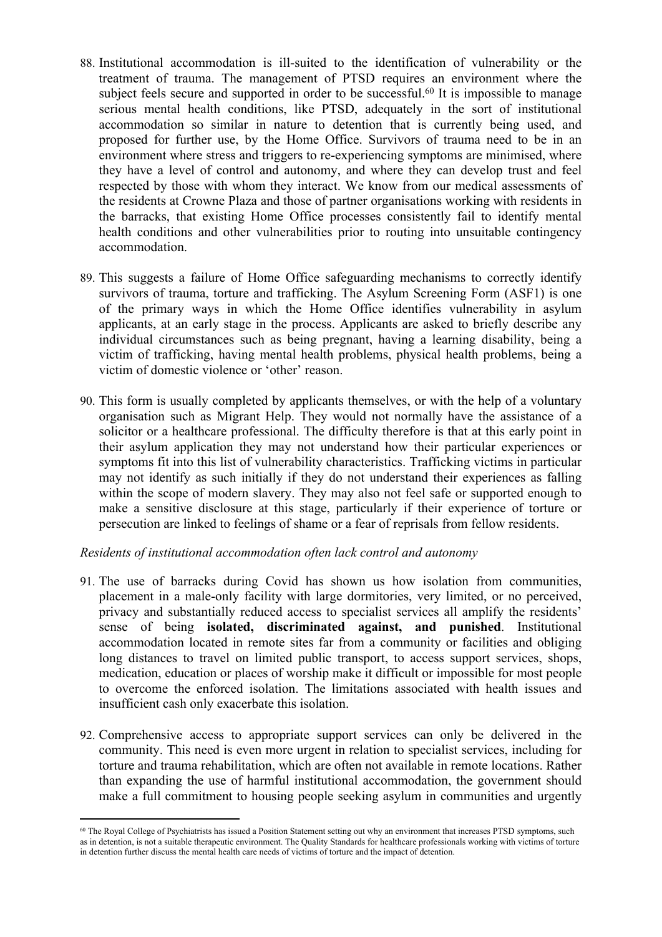- 88. Institutional accommodation is ill-suited to the identification of vulnerability or the treatment of trauma. The management of PTSD requires an environment where the subject feels secure and supported in order to be successful.<sup>60</sup> It is impossible to manage serious mental health conditions, like PTSD, adequately in the sort of institutional accommodation so similar in nature to detention that is currently being used, and proposed for further use, by the Home Office. Survivors of trauma need to be in an environment where stress and triggers to re-experiencing symptoms are minimised, where they have a level of control and autonomy, and where they can develop trust and feel respected by those with whom they interact. We know from our medical assessments of the residents at Crowne Plaza and those of partner organisations working with residents in the barracks, that existing Home Office processes consistently fail to identify mental health conditions and other vulnerabilities prior to routing into unsuitable contingency accommodation.
- 89. This suggests a failure of Home Office safeguarding mechanisms to correctly identify survivors of trauma, torture and trafficking. The Asylum Screening Form (ASF1) is one of the primary ways in which the Home Office identifies vulnerability in asylum applicants, at an early stage in the process. Applicants are asked to briefly describe any individual circumstances such as being pregnant, having a learning disability, being a victim of trafficking, having mental health problems, physical health problems, being a victim of domestic violence or 'other' reason.
- 90. This form is usually completed by applicants themselves, or with the help of a voluntary organisation such as Migrant Help. They would not normally have the assistance of a solicitor or a healthcare professional. The difficulty therefore is that at this early point in their asylum application they may not understand how their particular experiences or symptoms fit into this list of vulnerability characteristics. Trafficking victims in particular may not identify as such initially if they do not understand their experiences as falling within the scope of modern slavery. They may also not feel safe or supported enough to make a sensitive disclosure at this stage, particularly if their experience of torture or persecution are linked to feelings of shame or a fear of reprisals from fellow residents.

#### *Residents of institutional accommodation often lack control and autonomy*

- 91. The use of barracks during Covid has shown us how isolation from communities, placement in a male-only facility with large dormitories, very limited, or no perceived, privacy and substantially reduced access to specialist services all amplify the residents' sense of being **isolated, discriminated against, and punished**. Institutional accommodation located in remote sites far from a community or facilities and obliging long distances to travel on limited public transport, to access support services, shops, medication, education or places of worship make it difficult or impossible for most people to overcome the enforced isolation. The limitations associated with health issues and insufficient cash only exacerbate this isolation.
- 92. Comprehensive access to appropriate support services can only be delivered in the community. This need is even more urgent in relation to specialist services, including for torture and trauma rehabilitation, which are often not available in remote locations. Rather than expanding the use of harmful institutional accommodation, the government should make a full commitment to housing people seeking asylum in communities and urgently

<sup>60</sup> The Royal College of Psychiatrists has issued a Position Statement setting out why an environment that increases PTSD symptoms, such as in detention, is not a suitable therapeutic environment. The Quality Standards for healthcare professionals working with victims of torture in detention further discuss the mental health care needs of victims of torture and the impact of detention.